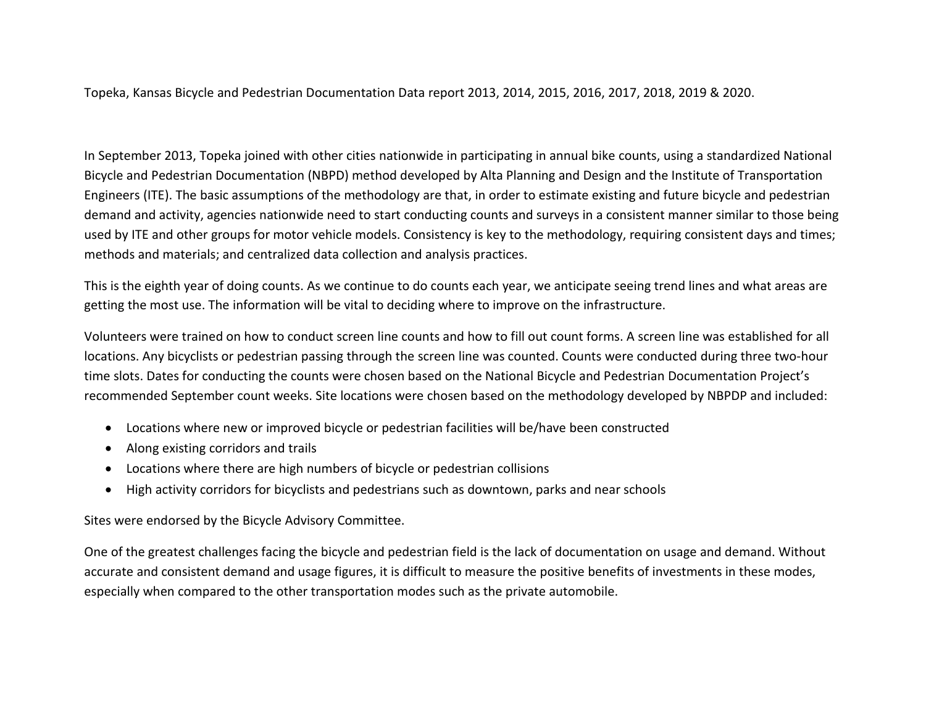Topeka, Kansas Bicycle and Pedestrian Documentation Data report 2013, 2014, 2015, 2016, 2017, 2018, 2019 & 2020.

In September 2013, Topeka joined with other cities nationwide in participating in annual bike counts, using a standardized National Bicycle and Pedestrian Documentation (NBPD) method developed by Alta Planning and Design and the Institute of Transportation Engineers (ITE). The basic assumptions of the methodology are that, in order to estimate existing and future bicycle and pedestrian demand and activity, agencies nationwide need to start conducting counts and surveys in a consistent manner similar to those being used by ITE and other groups for motor vehicle models. Consistency is key to the methodology, requiring consistent days and times; methods and materials; and centralized data collection and analysis practices.

This is the eighth year of doing counts. As we continue to do counts each year, we anticipate seeing trend lines and what areas are getting the most use. The information will be vital to deciding where to improve on the infrastructure.

Volunteers were trained on how to conduct screen line counts and how to fill out count forms. A screen line was established for all locations. Any bicyclists or pedestrian passing through the screen line was counted. Counts were conducted during three two-hour time slots. Dates for conducting the counts were chosen based on the National Bicycle and Pedestrian Documentation Project's recommended September count weeks. Site locations were chosen based on the methodology developed by NBPDP and included:

- Locations where new or improved bicycle or pedestrian facilities will be/have been constructed
- Along existing corridors and trails
- Locations where there are high numbers of bicycle or pedestrian collisions
- High activity corridors for bicyclists and pedestrians such as downtown, parks and near schools

Sites were endorsed by the Bicycle Advisory Committee.

One of the greatest challenges facing the bicycle and pedestrian field is the lack of documentation on usage and demand. Without accurate and consistent demand and usage figures, it is difficult to measure the positive benefits of investments in these modes, especially when compared to the other transportation modes such as the private automobile.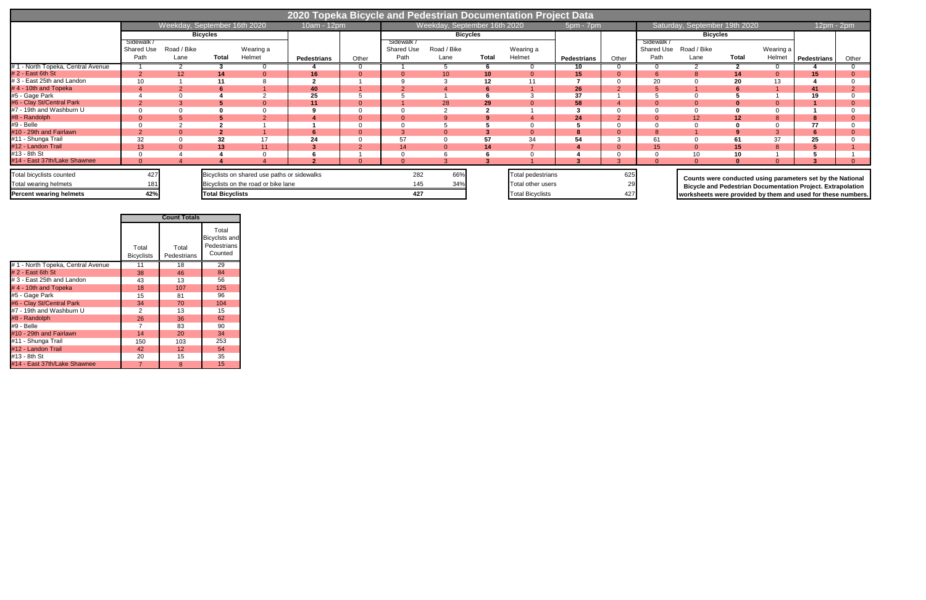|                                                   | 2020 Topeka Bicycle and Pedestrian Documentation Project Data |                              |                         |                                                                                    |                          |                |                                  |                              |              |                                        |                    |       |                                       |                                                              |              |                     |                                                                                                                                  |       |
|---------------------------------------------------|---------------------------------------------------------------|------------------------------|-------------------------|------------------------------------------------------------------------------------|--------------------------|----------------|----------------------------------|------------------------------|--------------|----------------------------------------|--------------------|-------|---------------------------------------|--------------------------------------------------------------|--------------|---------------------|----------------------------------------------------------------------------------------------------------------------------------|-------|
|                                                   |                                                               | Weekday, September 16th 2020 |                         |                                                                                    | 10am - 12pm <sup>1</sup> |                |                                  | Weekday, September 16th 2020 |              |                                        | $5pm - 7pm$        |       |                                       | Saturday, September 19th 2020                                |              |                     | 12pm - 2pm                                                                                                                       |       |
|                                                   |                                                               |                              | <b>Bicycles</b>         |                                                                                    |                          |                |                                  | <b>Bicycles</b>              |              |                                        |                    |       | <b>Bicycles</b>                       |                                                              |              |                     |                                                                                                                                  |       |
|                                                   | Sidewalk<br><b>Shared Use</b><br>Path                         | Road / Bike<br>Lane          | <b>Total</b>            | Wearing a<br>Helmet                                                                | <b>Pedestrians</b>       | Other          | Sidewalk /<br>Shared Use<br>Path | Road / Bike<br>Lane          | <b>Total</b> | Wearing a<br>Helmet                    | <b>Pedestrians</b> | Other | Sidewalk<br><b>Shared Use</b><br>Path | Road / Bike<br>Lane                                          | <b>Total</b> | Wearing a<br>Helmet | <b>Pedestrians</b>                                                                                                               | Other |
| #1 - North Topeka, Central Avenue                 |                                                               |                              |                         |                                                                                    |                          |                |                                  |                              |              |                                        | 10                 |       |                                       |                                                              |              |                     |                                                                                                                                  |       |
| $# 2 - East 6th St$                               |                                                               | 12                           | 14                      | $\Omega$                                                                           | 16                       |                |                                  | 10                           | 10           |                                        | 15                 |       |                                       |                                                              |              | $\Omega$            | 15 <sub>1</sub>                                                                                                                  |       |
| #3 - East 25th and Landon                         |                                                               |                              | 11                      |                                                                                    | $\sqrt{2}$               |                |                                  |                              |              |                                        |                    |       | 20                                    |                                                              | 20           | 13                  |                                                                                                                                  |       |
| #4 - 10th and Topeka                              |                                                               |                              |                         | $\Omega$                                                                           | 40                       |                |                                  |                              |              |                                        | 26                 |       |                                       |                                                              |              |                     |                                                                                                                                  |       |
| #5 - Gage Park                                    |                                                               |                              |                         |                                                                                    | 25                       |                |                                  |                              |              |                                        | 37                 |       |                                       |                                                              |              |                     | 19                                                                                                                               |       |
| #6 - Clay St/Central Park                         |                                                               |                              |                         | $\Omega$                                                                           | 11                       | $\mathbf 0$    |                                  | 28                           | 29           |                                        | 58                 |       |                                       |                                                              |              | -0                  |                                                                                                                                  |       |
| #7 - 19th and Washburn U                          |                                                               |                              |                         | $\Omega$                                                                           |                          |                |                                  |                              |              |                                        |                    |       |                                       |                                                              |              | $\Omega$            |                                                                                                                                  |       |
| #8 - Randolph                                     |                                                               |                              |                         |                                                                                    |                          | $\overline{0}$ |                                  |                              |              |                                        | 24                 |       |                                       | 12                                                           | 12           | 8                   |                                                                                                                                  |       |
| #9 - Belle                                        |                                                               |                              |                         |                                                                                    |                          |                |                                  |                              |              |                                        |                    |       |                                       |                                                              |              | $\Omega$            | 77                                                                                                                               |       |
| #10 - 29th and Fairlawn                           |                                                               |                              |                         |                                                                                    | 6                        | $\mathbf 0$    |                                  |                              |              |                                        |                    |       | ŏ                                     |                                                              |              | 3                   |                                                                                                                                  |       |
| #11 - Shunga Trail                                | 32                                                            |                              | 32                      | 17                                                                                 | 24                       |                | 57                               |                              |              | 34                                     | 54                 |       | 6'                                    |                                                              |              | 37                  | 25                                                                                                                               |       |
| #12 - Landon Trail                                | 13                                                            |                              | 13                      | 11                                                                                 |                          | $\Omega$       | 14                               |                              |              |                                        |                    |       | 15 <sup>2</sup>                       |                                                              |              |                     |                                                                                                                                  |       |
| #13 - 8th St                                      |                                                               |                              |                         |                                                                                    |                          |                |                                  |                              |              |                                        |                    |       |                                       |                                                              | 10           |                     |                                                                                                                                  |       |
| #14 East 37th/Lake Shawnee                        |                                                               |                              |                         |                                                                                    |                          |                |                                  |                              |              |                                        |                    |       |                                       |                                                              |              |                     |                                                                                                                                  |       |
| Total bicyclists counted<br>Total wearing helmets | 427                                                           |                              |                         | Bicyclists on shared use paths or sidewalks<br>Bicyclists on the road or bike lane |                          |                | 282<br>145                       | 66%<br>34%                   |              | Total pedestrians<br>Total other users |                    | 625   |                                       |                                                              |              |                     | Counts were conducted using parameters set by the National<br><b>Bicycle and Pedestrian Documentation Project. Extrapolation</b> |       |
| <b>Percent wearing helmets</b>                    | 42%                                                           |                              | <b>Total Bicyclists</b> |                                                                                    |                          |                | 427                              |                              |              | <b>Total Bicyclists</b>                |                    | 427   |                                       | worksheets were provided by them and used for these numbers. |              |                     |                                                                                                                                  |       |

|                                   | <b>Count Totals</b>        |                      |                                                  |  |  |  |  |  |
|-----------------------------------|----------------------------|----------------------|--------------------------------------------------|--|--|--|--|--|
|                                   | Total<br><b>Bicyclists</b> | Total<br>Pedestrians | Total<br>Bicyclsts and<br>Pedestrians<br>Counted |  |  |  |  |  |
| #1 - North Topeka, Central Avenue | 11                         | 18                   | 29                                               |  |  |  |  |  |
| $# 2 - East 6th St$               | 38                         | 46                   | 84                                               |  |  |  |  |  |
| # 3 - East 25th and Landon        | 43                         | 13                   | 56                                               |  |  |  |  |  |
| #4 - 10th and Topeka              | 18                         | 107                  | 125                                              |  |  |  |  |  |
| #5 - Gage Park                    | 15                         | 81                   | 96                                               |  |  |  |  |  |
| #6 - Clay St/Central Park         | 34                         | 70                   | 104                                              |  |  |  |  |  |
| #7 - 19th and Washburn U          | 2                          | 13                   | 15                                               |  |  |  |  |  |
| #8 - Randolph                     | 26                         | 36                   | 62                                               |  |  |  |  |  |
| #9 - Belle                        | 7                          | 83                   | 90                                               |  |  |  |  |  |
| #10 - 29th and Fairlawn           | 14                         | 20                   | 34                                               |  |  |  |  |  |
| #11 - Shunga Trail                | 150                        | 103                  | 253                                              |  |  |  |  |  |
| #12 - Landon Trail                | 42                         | 12 <sup>2</sup>      | 54                                               |  |  |  |  |  |
| #13 - 8th St                      | 20                         | 15                   | 35                                               |  |  |  |  |  |
| #14 - East 37th/Lake Shawnee      | 7                          | 8                    | 15                                               |  |  |  |  |  |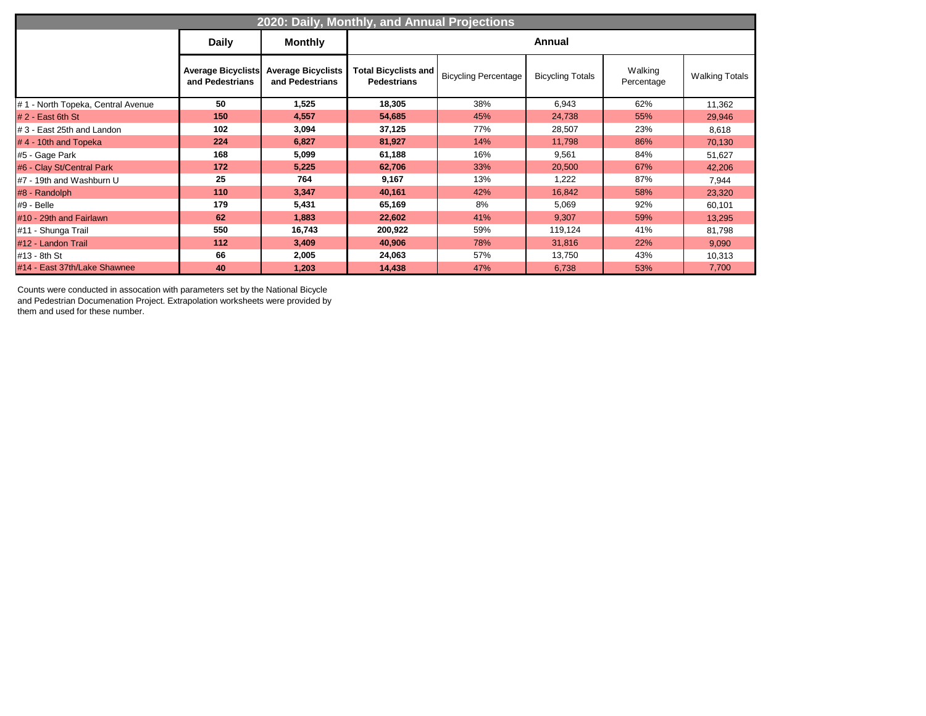| 2020: Daily, Monthly, and Annual Projections |                 |                                                          |                                                   |                             |                         |                       |                       |  |  |  |  |
|----------------------------------------------|-----------------|----------------------------------------------------------|---------------------------------------------------|-----------------------------|-------------------------|-----------------------|-----------------------|--|--|--|--|
|                                              | <b>Daily</b>    | <b>Monthly</b>                                           |                                                   |                             | <b>Annual</b>           |                       |                       |  |  |  |  |
|                                              | and Pedestrians | Average Bicyclists Average Bicyclists<br>and Pedestrians | <b>Total Bicyclists and</b><br><b>Pedestrians</b> | <b>Bicycling Percentage</b> | <b>Bicycling Totals</b> | Walking<br>Percentage | <b>Walking Totals</b> |  |  |  |  |
| #1 - North Topeka, Central Avenue            | 50              | 1,525                                                    | 18,305                                            | 38%                         | 6,943                   | 62%                   | 11,362                |  |  |  |  |
| $# 2 - East 6th St$                          | 150             | 4,557                                                    | 54,685                                            | 45%                         | 24,738                  | 55%                   | 29,946                |  |  |  |  |
| #3 - East 25th and Landon                    | 102             | 3,094                                                    | 37,125                                            | 77%                         | 28,507                  | 23%                   | 8,618                 |  |  |  |  |
| #4 - 10th and Topeka                         | 224             | 6,827                                                    | 81,927                                            | 14%                         | 11,798                  | 86%                   | 70,130                |  |  |  |  |
| #5 - Gage Park                               | 168             | 5,099                                                    | 61,188                                            | 16%                         | 9,561                   | 84%                   | 51,627                |  |  |  |  |
| #6 - Clay St/Central Park                    | 172             | 5,225                                                    | 62,706                                            | 33%                         | 20,500                  | 67%                   | 42,206                |  |  |  |  |
| #7 - 19th and Washburn U                     | 25              | 764                                                      | 9,167                                             | 13%                         | 1,222                   | 87%                   | 7,944                 |  |  |  |  |
| #8 - Randolph                                | 110             | 3,347                                                    | 40,161                                            | 42%                         | 16,842                  | 58%                   | 23,320                |  |  |  |  |
| #9 - Belle                                   | 179             | 5,431                                                    | 65,169                                            | 8%                          | 5,069                   | 92%                   | 60,101                |  |  |  |  |
| #10 - 29th and Fairlawn                      | 62              | 1,883                                                    | 22,602                                            | 41%                         | 9,307                   | 59%                   | 13,295                |  |  |  |  |
| #11 - Shunga Trail                           | 550             | 16,743                                                   | 200,922                                           | 59%                         | 119,124                 | 41%                   | 81,798                |  |  |  |  |
| #12 - Landon Trail                           | 112             | 3,409                                                    | 40,906                                            | 78%                         | 31,816                  | 22%                   | 9,090                 |  |  |  |  |
| #13 - 8th St                                 | 66              | 2,005                                                    | 24,063                                            | 57%                         | 13,750                  | 43%                   | 10,313                |  |  |  |  |
| #14 - East 37th/Lake Shawnee                 | 40              | 1,203                                                    | 14,438                                            | 47%                         | 6,738                   | 53%                   | 7,700                 |  |  |  |  |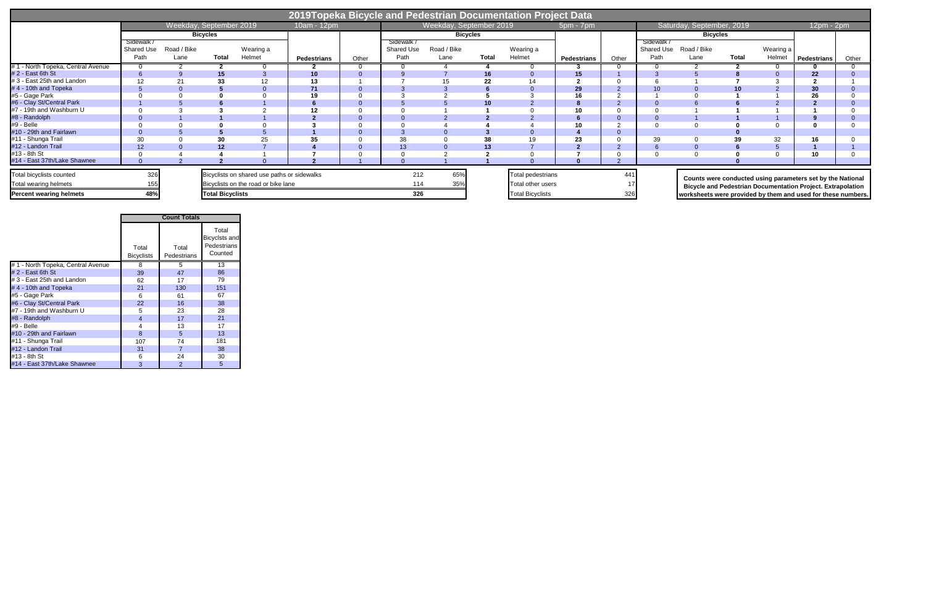|                                                   | 2019Topeka Bicycle and Pedestrian Documentation Project Data |                     |                         |                                                                                    |                    |       |                                         |                         |              |                                        |                    |       |                                |                                                              |              |                     |                                                                                                                                  |       |
|---------------------------------------------------|--------------------------------------------------------------|---------------------|-------------------------|------------------------------------------------------------------------------------|--------------------|-------|-----------------------------------------|-------------------------|--------------|----------------------------------------|--------------------|-------|--------------------------------|--------------------------------------------------------------|--------------|---------------------|----------------------------------------------------------------------------------------------------------------------------------|-------|
|                                                   |                                                              |                     | Weekday, September 2019 |                                                                                    | 10am - 12pm        |       |                                         | Weekday, September 2019 |              |                                        | $5pm - 7pm$        |       |                                | Saturday, September, 2019                                    |              |                     | $12pm - 2pm$                                                                                                                     |       |
|                                                   |                                                              |                     | <b>Bicycles</b>         |                                                                                    |                    |       |                                         | <b>Bicycles</b>         |              |                                        |                    |       | <b>Bicycles</b>                |                                                              |              |                     |                                                                                                                                  |       |
|                                                   | Sidewalk<br>Shared Use<br>Path                               | Road / Bike<br>Lane | <b>Total</b>            | Wearing a<br>Helmet                                                                | <b>Pedestrians</b> | Other | Sidewalk /<br><b>Shared Use</b><br>Path | Road / Bike<br>Lane     | <b>Total</b> | Wearing a<br>Helmet                    | <b>Pedestrians</b> | Other | Sidewalk<br>Shared Use<br>Path | Road / Bike<br>Lane                                          | <b>Total</b> | Wearing a<br>Helmet | <b>Pedestrians</b>                                                                                                               | Other |
| #1 - North Topeka, Central Avenue                 |                                                              |                     |                         |                                                                                    |                    |       |                                         |                         |              |                                        |                    |       |                                |                                                              |              |                     |                                                                                                                                  |       |
| #2 - East 6th St                                  |                                                              |                     | 15                      |                                                                                    | 10                 |       |                                         |                         | 16           |                                        | 15 <sub>1</sub>    |       |                                |                                                              |              |                     | 22                                                                                                                               |       |
| #3 - East 25th and Landon                         |                                                              | 21                  | 33                      | 12                                                                                 | 13                 |       |                                         |                         | 22           | 14                                     |                    |       |                                |                                                              |              |                     |                                                                                                                                  |       |
| #4 - 10th and Topeka                              |                                                              |                     |                         |                                                                                    | 71                 |       |                                         |                         |              |                                        | 29                 |       | 10 <sup>1</sup>                |                                                              |              |                     | 30                                                                                                                               |       |
| #5 - Gage Park                                    |                                                              |                     |                         |                                                                                    | 19                 |       |                                         |                         |              |                                        | 16                 |       |                                |                                                              |              |                     | 26                                                                                                                               |       |
| #6 - Clay St/Central Park                         |                                                              |                     |                         |                                                                                    |                    |       |                                         |                         |              |                                        |                    |       |                                |                                                              |              |                     |                                                                                                                                  |       |
| #7 - 19th and Washburn U                          |                                                              |                     |                         |                                                                                    | 12                 |       |                                         |                         |              |                                        |                    |       |                                |                                                              |              |                     |                                                                                                                                  |       |
| #8 - Randolph                                     |                                                              |                     |                         |                                                                                    |                    |       |                                         |                         |              |                                        |                    |       |                                |                                                              |              |                     |                                                                                                                                  |       |
| #9 - Belle                                        |                                                              |                     |                         |                                                                                    |                    |       |                                         |                         |              |                                        | 10                 |       |                                |                                                              |              |                     |                                                                                                                                  |       |
| #10 - 29th and Fairlawn                           |                                                              |                     |                         | $\mathbf{b}$                                                                       |                    |       |                                         |                         |              |                                        |                    |       |                                |                                                              |              |                     |                                                                                                                                  |       |
| #11 - Shunga Trail                                | 30                                                           |                     | 30                      | 25                                                                                 | 35                 |       | 38                                      |                         |              |                                        | 23                 |       | 39                             |                                                              |              | 32                  | 16                                                                                                                               |       |
| #12 - Landon Trail                                |                                                              |                     | 12                      |                                                                                    |                    |       | 13                                      |                         | 13           |                                        |                    |       |                                |                                                              |              |                     |                                                                                                                                  |       |
| #13 - 8th St                                      |                                                              |                     |                         |                                                                                    |                    |       |                                         |                         |              |                                        |                    |       |                                |                                                              |              |                     |                                                                                                                                  |       |
| #14 - East 37th/Lake Shawnee                      |                                                              |                     |                         |                                                                                    |                    |       |                                         |                         |              |                                        |                    |       |                                |                                                              |              |                     |                                                                                                                                  |       |
| Total bicyclists counted<br>Total wearing helmets | 326                                                          |                     |                         | Bicyclists on shared use paths or sidewalks<br>Bicyclists on the road or bike lane |                    |       | 212<br>114                              | 65%<br>35%              |              | Total pedestrians<br>Total other users |                    | 44    |                                |                                                              |              |                     | Counts were conducted using parameters set by the National<br><b>Bicycle and Pedestrian Documentation Project. Extrapolation</b> |       |
| <b>Percent wearing helmets</b>                    | 48%                                                          |                     | <b>Total Bicyclists</b> |                                                                                    |                    |       | 326                                     |                         |              | <b>Total Bicyclists</b>                |                    | 326   |                                | worksheets were provided by them and used for these numbers. |              |                     |                                                                                                                                  |       |

|                                   | <b>Count Totals</b>        |                      |                                                         |  |  |  |  |  |
|-----------------------------------|----------------------------|----------------------|---------------------------------------------------------|--|--|--|--|--|
|                                   | Total<br><b>Bicyclists</b> | Total<br>Pedestrians | Total<br><b>Bicyclsts and</b><br>Pedestrians<br>Counted |  |  |  |  |  |
| #1 - North Topeka, Central Avenue | 8                          | 5                    | 13                                                      |  |  |  |  |  |
| #2 East 6th St                    | 39                         | 47                   | 86                                                      |  |  |  |  |  |
| #3 - East 25th and Landon         | 62                         | 17                   | 79                                                      |  |  |  |  |  |
| #4 - 10th and Topeka              | 21                         | 130                  | 151                                                     |  |  |  |  |  |
| #5 Gage Park                      | 6                          | 61                   | 67                                                      |  |  |  |  |  |
| #6 - Clay St/Central Park         | 22                         | 16                   | 38                                                      |  |  |  |  |  |
| #7 - 19th and Washburn U          | 5                          | 23                   | 28                                                      |  |  |  |  |  |
| #8 - Randolph                     | 4                          | 17                   | 21                                                      |  |  |  |  |  |
| #9 - Belle                        | 4                          | 13                   | 17                                                      |  |  |  |  |  |
| #10 - 29th and Fairlawn           | 8                          | 5                    | 13                                                      |  |  |  |  |  |
| #11 - Shunga Trail                | 107                        | 74                   | 181                                                     |  |  |  |  |  |
| #12 - Landon Trail                | 31                         | 7                    | 38                                                      |  |  |  |  |  |
| #13 - 8th St                      | 6                          | 24                   | 30                                                      |  |  |  |  |  |
| #14 - East 37th/Lake Shawnee      | 3                          | 2                    | 5                                                       |  |  |  |  |  |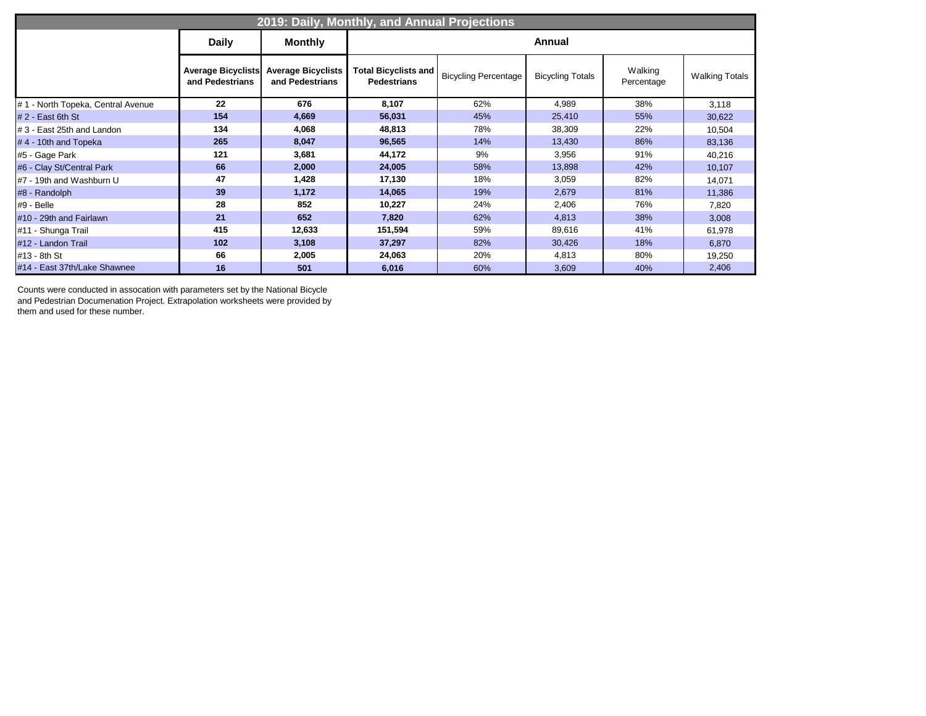| 2019: Daily, Monthly, and Annual Projections |                                              |                                              |                                                   |                             |                         |                       |                       |  |  |  |  |
|----------------------------------------------|----------------------------------------------|----------------------------------------------|---------------------------------------------------|-----------------------------|-------------------------|-----------------------|-----------------------|--|--|--|--|
|                                              | <b>Daily</b>                                 | <b>Monthly</b>                               |                                                   |                             | <b>Annual</b>           |                       |                       |  |  |  |  |
|                                              | <b>Average Bicyclists</b><br>and Pedestrians | <b>Average Bicyclists</b><br>and Pedestrians | <b>Total Bicyclists and</b><br><b>Pedestrians</b> | <b>Bicycling Percentage</b> | <b>Bicycling Totals</b> | Walking<br>Percentage | <b>Walking Totals</b> |  |  |  |  |
| #1 - North Topeka, Central Avenue            | 22                                           | 676                                          | 8,107                                             | 62%                         | 4,989                   | 38%                   | 3,118                 |  |  |  |  |
| $# 2 - East 6th St$                          | 154                                          | 4,669                                        | 56,031                                            | 45%                         | 25,410                  | 55%                   | 30,622                |  |  |  |  |
| #3 - East 25th and Landon                    | 134                                          | 4,068                                        | 48,813                                            | 78%                         | 38,309                  | 22%                   | 10,504                |  |  |  |  |
| $# 4 - 10$ th and Topeka                     | 265                                          | 8,047                                        | 96,565                                            | 14%                         | 13,430                  | 86%                   | 83,136                |  |  |  |  |
| #5 - Gage Park                               | 121                                          | 3,681                                        | 44,172                                            | 9%                          | 3,956                   | 91%                   | 40,216                |  |  |  |  |
| #6 - Clay St/Central Park                    | 66                                           | 2,000                                        | 24,005                                            | 58%                         | 13,898                  | 42%                   | 10,107                |  |  |  |  |
| #7 - 19th and Washburn U                     | 47                                           | 1,428                                        | 17,130                                            | 18%                         | 3,059                   | 82%                   | 14,071                |  |  |  |  |
| #8 - Randolph                                | 39                                           | 1,172                                        | 14,065                                            | 19%                         | 2,679                   | 81%                   | 11,386                |  |  |  |  |
| #9 - Belle                                   | 28                                           | 852                                          | 10,227                                            | 24%                         | 2,406                   | 76%                   | 7,820                 |  |  |  |  |
| #10 - 29th and Fairlawn                      | 21                                           | 652                                          | 7,820                                             | 62%                         | 4,813                   | 38%                   | 3,008                 |  |  |  |  |
| #11 - Shunga Trail                           | 415                                          | 12,633                                       | 151,594                                           | 59%                         | 89,616                  | 41%                   | 61,978                |  |  |  |  |
| #12 - Landon Trail                           | 102                                          | 3,108                                        | 37,297                                            | 82%                         | 30,426                  | 18%                   | 6,870                 |  |  |  |  |
| #13 - 8th St                                 | 66                                           | 2,005                                        | 24,063                                            | 20%                         | 4,813                   | 80%                   | 19,250                |  |  |  |  |
| #14 - East 37th/Lake Shawnee                 | 16                                           | 501                                          | 6,016                                             | 60%                         | 3,609                   | 40%                   | 2,406                 |  |  |  |  |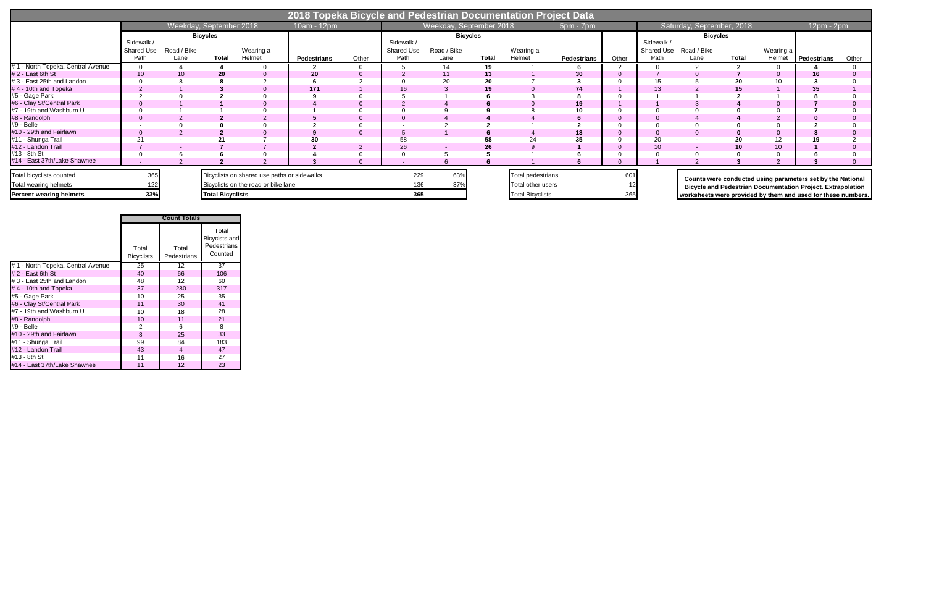|                                                          | 2018 Topeka Bicycle and Pedestrian Documentation Project Data |                     |                         |                                                                                    |                    |       |                                |                         |              |                                               |             |       |                                       |                                                              |              |                     |                                                                                                                                  |       |
|----------------------------------------------------------|---------------------------------------------------------------|---------------------|-------------------------|------------------------------------------------------------------------------------|--------------------|-------|--------------------------------|-------------------------|--------------|-----------------------------------------------|-------------|-------|---------------------------------------|--------------------------------------------------------------|--------------|---------------------|----------------------------------------------------------------------------------------------------------------------------------|-------|
|                                                          |                                                               |                     | Weekday, September 2018 |                                                                                    | 10am - 12pm        |       |                                | Weekday, September 2018 |              |                                               | $5pm - 7pm$ |       |                                       | Saturday, September, 2018                                    |              |                     | 12pm - 2pm                                                                                                                       |       |
|                                                          |                                                               |                     | <b>Bicycles</b>         |                                                                                    |                    |       |                                | <b>Bicycles</b>         |              |                                               |             |       | <b>Bicycles</b>                       |                                                              |              |                     |                                                                                                                                  |       |
|                                                          | Sidewalk<br><b>Shared Use</b><br>Path                         | Road / Bike<br>Lane | <b>Total</b>            | Wearing a<br>Helmet                                                                | <b>Pedestrians</b> | Other | Sidewalk<br>Shared Use<br>Path | Road / Bike<br>Lane     | <b>Total</b> | Wearing a<br>Helmet                           | Pedestrians | Other | Sidewalk<br><b>Shared Use</b><br>Path | Road / Bike<br>Lane                                          | <b>Total</b> | Wearing a<br>Helmet | Pedestrians                                                                                                                      | Other |
| #1 - North Topeka, Central Avenue                        |                                                               |                     |                         |                                                                                    |                    |       |                                |                         | 19           |                                               |             |       |                                       |                                                              |              |                     |                                                                                                                                  |       |
| #2 - East 6th St                                         |                                                               |                     | 20                      |                                                                                    | 20                 |       |                                |                         | 13           |                                               | 30          |       |                                       |                                                              |              |                     | 16                                                                                                                               |       |
| #3 - East 25th and Landon                                |                                                               |                     |                         |                                                                                    |                    |       |                                |                         | 20           |                                               |             |       |                                       |                                                              |              | 10                  |                                                                                                                                  |       |
| #4 - 10th and Topeka                                     |                                                               |                     |                         |                                                                                    | 171                |       | 16.                            |                         |              |                                               | 74          |       | 13                                    |                                                              |              |                     | 35                                                                                                                               |       |
| #5 - Gage Park                                           |                                                               |                     |                         |                                                                                    |                    |       |                                |                         |              |                                               |             |       |                                       |                                                              |              |                     |                                                                                                                                  |       |
| #6 - Clay St/Central Park                                |                                                               |                     |                         |                                                                                    |                    |       |                                |                         |              |                                               | 19          |       |                                       |                                                              |              |                     |                                                                                                                                  |       |
| #7 - 19th and Washburn U                                 |                                                               |                     |                         |                                                                                    |                    |       |                                |                         |              |                                               |             |       |                                       |                                                              |              |                     |                                                                                                                                  |       |
| #8 - Randolph                                            |                                                               |                     |                         |                                                                                    |                    |       |                                |                         |              |                                               |             |       |                                       |                                                              |              |                     |                                                                                                                                  |       |
| #9 - Belle                                               |                                                               |                     |                         |                                                                                    |                    |       |                                |                         |              |                                               |             |       |                                       |                                                              |              |                     |                                                                                                                                  |       |
| #10 - 29th and Fairlawn                                  |                                                               |                     |                         |                                                                                    |                    |       |                                |                         |              |                                               | 13          |       |                                       |                                                              |              |                     |                                                                                                                                  |       |
| #11 - Shunga Trail                                       |                                                               |                     |                         |                                                                                    | 30                 |       |                                |                         |              |                                               |             |       | 20                                    |                                                              |              | 12                  |                                                                                                                                  |       |
| #12 - Landon Trail                                       |                                                               |                     |                         |                                                                                    |                    |       | 26                             |                         | 26           |                                               |             |       | 10 <sup>°</sup>                       |                                                              |              | 10                  |                                                                                                                                  |       |
| #13 - 8th St                                             |                                                               |                     |                         |                                                                                    |                    |       |                                |                         |              |                                               |             |       |                                       |                                                              |              |                     |                                                                                                                                  |       |
| #14 - East 37th/Lake Shawnee                             |                                                               |                     |                         |                                                                                    |                    |       |                                |                         |              |                                               |             |       |                                       |                                                              |              |                     |                                                                                                                                  |       |
| Total bicyclists counted<br><b>Total wearing helmets</b> | 365                                                           |                     |                         | Bicyclists on shared use paths or sidewalks<br>Bicyclists on the road or bike lane |                    |       | 229<br>136                     | 63%<br>37%              |              | <b>Total pedestrians</b><br>Total other users |             | 601   |                                       |                                                              |              |                     | Counts were conducted using parameters set by the National<br><b>Bicycle and Pedestrian Documentation Project. Extrapolation</b> |       |
| <b>Percent wearing helmets</b>                           | 33%                                                           |                     | <b>Total Bicyclists</b> |                                                                                    |                    |       | 365                            |                         |              | <b>Total Bicyclists</b>                       |             | 365   |                                       | worksheets were provided by them and used for these numbers. |              |                     |                                                                                                                                  |       |

|                                   | <b>Count Totals</b>        |                      |                                                  |  |  |  |  |  |
|-----------------------------------|----------------------------|----------------------|--------------------------------------------------|--|--|--|--|--|
|                                   | Total<br><b>Bicyclists</b> | Total<br>Pedestrians | Total<br>Bicyclsts and<br>Pedestrians<br>Counted |  |  |  |  |  |
| #1 - North Topeka, Central Avenue | 25                         | 12                   | 37                                               |  |  |  |  |  |
| $# 2 - East 6th St$               | 40                         | 66                   | 106                                              |  |  |  |  |  |
| # 3 - East 25th and Landon        | 48                         | $12 \overline{ }$    | 60                                               |  |  |  |  |  |
| #4 - 10th and Topeka              | 37                         | 280                  | 317                                              |  |  |  |  |  |
| #5 - Gage Park                    | 10                         | 25                   | 35                                               |  |  |  |  |  |
| #6 - Clay St/Central Park         | 11                         | 30                   | 41                                               |  |  |  |  |  |
| #7 - 19th and Washburn U          | 10                         | 18                   | 28                                               |  |  |  |  |  |
| #8 - Randolph                     | 10                         | 11                   | 21                                               |  |  |  |  |  |
| #9 - Belle                        | 2                          | 6                    | 8                                                |  |  |  |  |  |
| #10 - 29th and Fairlawn           | 8                          | 25                   | 33                                               |  |  |  |  |  |
| #11 - Shunga Trail                | 99                         | 84                   | 183                                              |  |  |  |  |  |
| #12 - Landon Trail                | 43                         | $\overline{4}$       | 47                                               |  |  |  |  |  |
| #13 - 8th St                      | 11                         | 16                   | 27                                               |  |  |  |  |  |
| #14 - East 37th/Lake Shawnee      | 11                         | 12                   | 23                                               |  |  |  |  |  |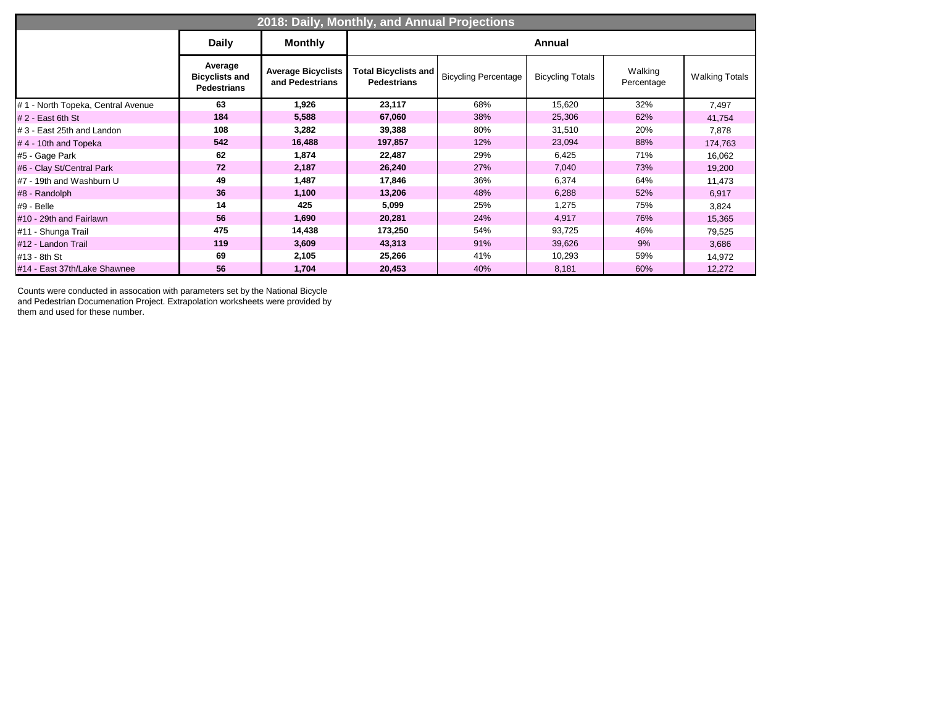| 2018: Daily, Monthly, and Annual Projections |                                                        |                                              |                                                   |                             |                         |                       |                       |  |  |  |  |  |
|----------------------------------------------|--------------------------------------------------------|----------------------------------------------|---------------------------------------------------|-----------------------------|-------------------------|-----------------------|-----------------------|--|--|--|--|--|
|                                              | <b>Daily</b>                                           | <b>Monthly</b>                               |                                                   |                             | Annual                  |                       |                       |  |  |  |  |  |
|                                              | Average<br><b>Bicyclists and</b><br><b>Pedestrians</b> | <b>Average Bicyclists</b><br>and Pedestrians | <b>Total Bicyclists and</b><br><b>Pedestrians</b> | <b>Bicycling Percentage</b> | <b>Bicycling Totals</b> | Walking<br>Percentage | <b>Walking Totals</b> |  |  |  |  |  |
| #1 - North Topeka, Central Avenue            | 63                                                     | 1,926                                        | 23,117                                            | 68%                         | 15,620                  | 32%                   | 7,497                 |  |  |  |  |  |
| $# 2 - East 6th St$                          | 184                                                    | 5,588                                        | 67,060                                            | 38%                         | 25,306                  | 62%                   | 41,754                |  |  |  |  |  |
| # 3 - East 25th and Landon                   | 108                                                    | 3,282                                        | 39,388                                            | 80%                         | 31,510                  | 20%                   | 7,878                 |  |  |  |  |  |
| #4 - 10th and Topeka                         | 542                                                    | 16,488                                       | 197,857                                           | 12%                         | 23,094                  | 88%                   | 174,763               |  |  |  |  |  |
| #5 - Gage Park                               | 62                                                     | 1,874                                        | 22,487                                            | 29%                         | 6,425                   | 71%                   | 16,062                |  |  |  |  |  |
| #6 - Clay St/Central Park                    | 72                                                     | 2,187                                        | 26,240                                            | 27%                         | 7,040                   | 73%                   | 19,200                |  |  |  |  |  |
| #7 - 19th and Washburn U                     | 49                                                     | 1,487                                        | 17,846                                            | 36%                         | 6,374                   | 64%                   | 11,473                |  |  |  |  |  |
| #8 - Randolph                                | 36                                                     | 1,100                                        | 13,206                                            | 48%                         | 6,288                   | 52%                   | 6,917                 |  |  |  |  |  |
| #9 - Belle                                   | 14                                                     | 425                                          | 5,099                                             | 25%                         | 1,275                   | 75%                   | 3,824                 |  |  |  |  |  |
| #10 - 29th and Fairlawn                      | 56                                                     | 1,690                                        | 20,281                                            | 24%                         | 4,917                   | 76%                   | 15,365                |  |  |  |  |  |
| #11 - Shunga Trail                           | 475                                                    | 14,438                                       | 173,250                                           | 54%                         | 93,725                  | 46%                   | 79,525                |  |  |  |  |  |
| #12 - Landon Trail                           | 119                                                    | 3,609                                        | 43,313                                            | 91%                         | 39,626                  | 9%                    | 3,686                 |  |  |  |  |  |
| #13 - 8th St                                 | 69                                                     | 2,105                                        | 25,266                                            | 41%                         | 10,293                  | 59%                   | 14,972                |  |  |  |  |  |
| #14 - East 37th/Lake Shawnee                 | 56                                                     | 1,704                                        | 20,453                                            | 40%                         | 8,181                   | 60%                   | 12,272                |  |  |  |  |  |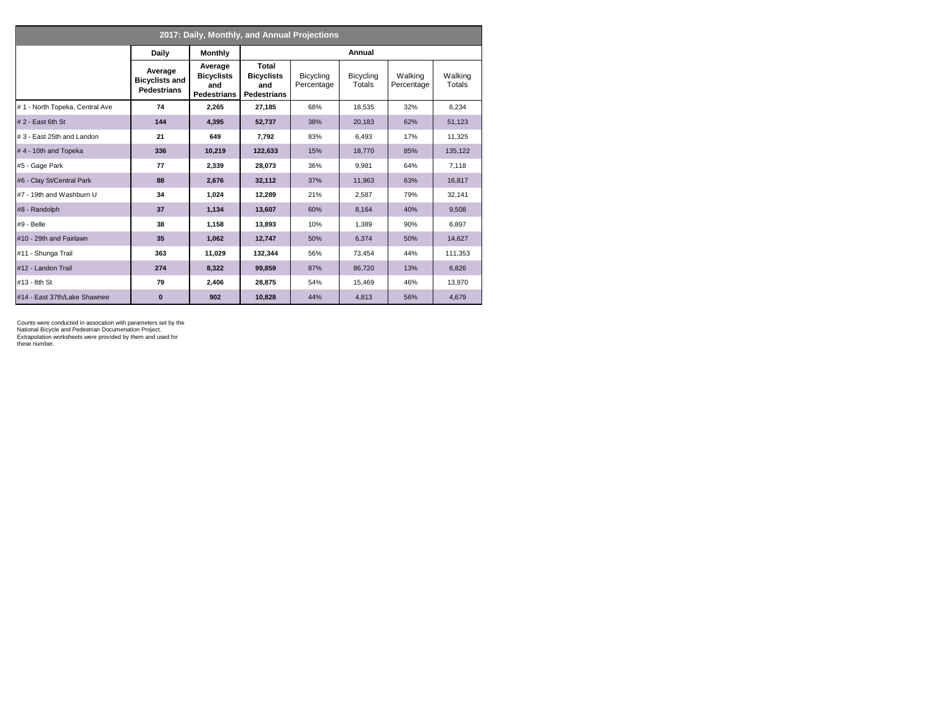| 2017: Daily, Monthly, and Annual Projections |                                                        |                                                           |                                                         |                         |                     |                       |                   |  |  |  |
|----------------------------------------------|--------------------------------------------------------|-----------------------------------------------------------|---------------------------------------------------------|-------------------------|---------------------|-----------------------|-------------------|--|--|--|
|                                              | Daily                                                  | <b>Monthly</b>                                            |                                                         |                         | Annual              |                       |                   |  |  |  |
|                                              | Average<br><b>Bicyclists and</b><br><b>Pedestrians</b> | Average<br><b>Bicyclists</b><br>and<br><b>Pedestrians</b> | Total<br><b>Bicyclists</b><br>and<br><b>Pedestrians</b> | Bicycling<br>Percentage | Bicycling<br>Totals | Walking<br>Percentage | Walking<br>Totals |  |  |  |
| #1 - North Topeka, Central Ave               | 74                                                     | 2.265                                                     | 27,185                                                  | 68%                     | 18.535              | 32%                   | 6.234             |  |  |  |
| $# 2 - East 6th St$                          | 144                                                    | 4,395                                                     | 52,737                                                  | 38%                     | 20,183              | 62%                   | 51,123            |  |  |  |
| #3 - East 25th and Landon                    | 21                                                     | 649                                                       | 7.792                                                   | 83%                     | 6.493               | 17%                   | 11,325            |  |  |  |
| #4 - 10th and Topeka                         | 336                                                    | 10,219                                                    | 122,633                                                 | 15%                     | 18,770              | 85%                   | 135,122           |  |  |  |
| #5 - Gage Park                               | 77                                                     | 2.339                                                     | 28,073                                                  | 36%                     | 9,981               | 64%                   | 7,118             |  |  |  |
| #6 - Clay St/Central Park                    | 88                                                     | 2,676                                                     | 32,112                                                  | 37%                     | 11,963              | 63%                   | 16,817            |  |  |  |
| #7 - 19th and Washburn U                     | 34                                                     | 1,024                                                     | 12,289                                                  | 21%                     | 2,587               | 79%                   | 32,141            |  |  |  |
| #8 - Randolph                                | 37                                                     | 1,134                                                     | 13,607                                                  | 60%                     | 8,164               | 40%                   | 9,508             |  |  |  |
| #9 - Belle                                   | 38                                                     | 1,158                                                     | 13.893                                                  | 10%                     | 1,389               | 90%                   | 6,897             |  |  |  |
| #10 - 29th and Fairlawn                      | 35                                                     | 1,062                                                     | 12,747                                                  | 50%                     | 6,374               | 50%                   | 14,627            |  |  |  |
| #11 - Shunga Trail                           | 363                                                    | 11,029                                                    | 132.344                                                 | 56%                     | 73,454              | 44%                   | 111,353           |  |  |  |
| #12 - Landon Trail                           | 274                                                    | 8,322                                                     | 99,859                                                  | 87%                     | 86,720              | 13%                   | 6,826             |  |  |  |
| #13 - 8th St                                 | 79                                                     | 2,406                                                     | 28,875                                                  | 54%                     | 15,469              | 46%                   | 13,970            |  |  |  |
| #14 - East 37th/Lake Shawnee                 | $\bf{0}$                                               | 902                                                       | 10,828                                                  | 44%                     | 4,813               | 56%                   | 4,679             |  |  |  |

Counts were conducted in assocation with parameters set by the National Bicycle and Pedestrian Documenation Project.

Extrapolation worksheets were provided by them and used for these number.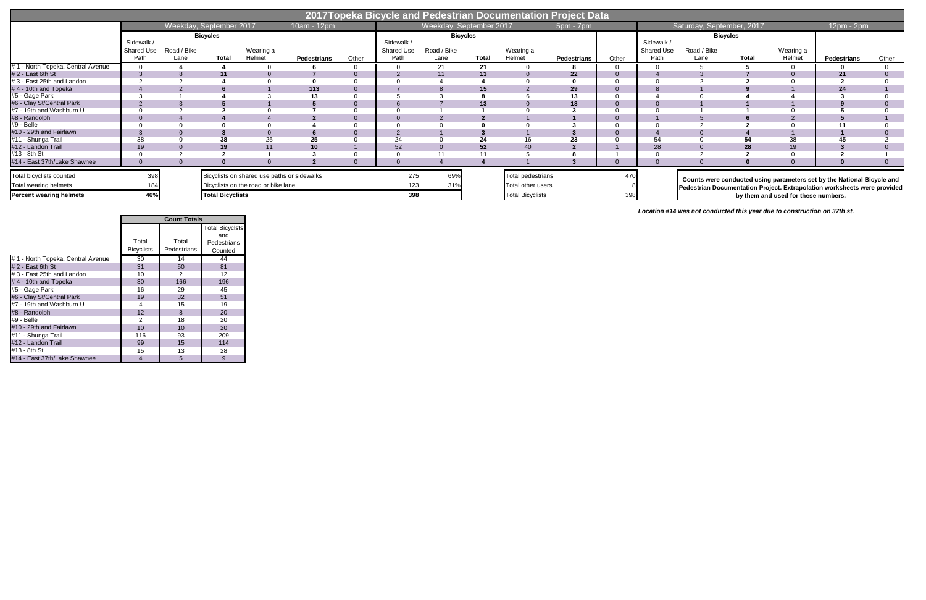|                                   | 2017Topeka Bicycle and Pedestrian Documentation Project Data |                         |                         |                                             |                    |       |                           |                         |                 |                          |             |       |                    |                           |              |                                     |                                                                          |       |
|-----------------------------------|--------------------------------------------------------------|-------------------------|-------------------------|---------------------------------------------|--------------------|-------|---------------------------|-------------------------|-----------------|--------------------------|-------------|-------|--------------------|---------------------------|--------------|-------------------------------------|--------------------------------------------------------------------------|-------|
|                                   |                                                              | Weekday, September 2017 |                         |                                             | 10am - 12pm        |       |                           | Weekday, September 2017 |                 |                          | 5pm - 7pm   |       |                    | Saturday, September, 2017 |              |                                     | 12pm - 2pm                                                               |       |
|                                   |                                                              |                         | <b>Bicycles</b>         |                                             |                    |       |                           |                         | <b>Bicycles</b> |                          |             |       |                    | <b>Bicycles</b>           |              |                                     |                                                                          |       |
|                                   | Sidewalk                                                     |                         |                         |                                             |                    |       | Sidewalk /                |                         |                 |                          |             |       | Sidewalk           |                           |              |                                     |                                                                          |       |
|                                   | Shared Use<br>Path                                           | Road / Bike<br>Lane     | <b>Total</b>            | Wearing a<br>Helmet                         | <b>Pedestrians</b> | Other | <b>Shared Use</b><br>Path | Road / Bike<br>Lane     | Total           | Wearing a<br>Helmet      | Pedestrians | Other | Shared Use<br>Path | Road / Bike<br>Lane       | <b>Total</b> | Wearing a<br>Helmet                 | <b>Pedestrians</b>                                                       | Other |
| #1 - North Topeka, Central Avenue |                                                              |                         |                         |                                             |                    |       |                           | 21                      | 21              |                          |             |       |                    |                           |              |                                     |                                                                          |       |
| #2 - East 6th St                  |                                                              |                         |                         |                                             |                    |       |                           |                         | 13              |                          | 22          |       |                    |                           |              |                                     |                                                                          |       |
| #3 - East 25th and Landon         |                                                              |                         |                         |                                             |                    |       |                           |                         |                 |                          |             |       |                    |                           |              |                                     |                                                                          |       |
| #4 - 10th and Topeka              |                                                              |                         |                         |                                             | 113                |       |                           |                         | 15              |                          | 29          |       |                    |                           |              |                                     | 24                                                                       |       |
| #5 - Gage Park                    |                                                              |                         |                         |                                             | 13                 |       |                           |                         |                 |                          | 13          |       |                    |                           |              |                                     |                                                                          |       |
| #6 - Clay St/Central Park         |                                                              |                         |                         |                                             |                    |       |                           |                         | 13              |                          | 18          |       |                    |                           |              |                                     |                                                                          |       |
| #7 - 19th and Washburn U          |                                                              |                         |                         |                                             |                    |       |                           |                         |                 |                          |             |       |                    |                           |              |                                     |                                                                          |       |
| #8 - Randolph                     |                                                              |                         |                         |                                             |                    |       |                           |                         |                 |                          |             |       |                    |                           |              |                                     |                                                                          |       |
| #9 - Belle                        |                                                              |                         |                         |                                             |                    |       |                           |                         |                 |                          |             |       |                    |                           |              |                                     |                                                                          |       |
| #10 - 29th and Fairlawn           |                                                              |                         |                         |                                             |                    |       |                           |                         |                 |                          |             |       |                    |                           |              |                                     |                                                                          |       |
| #11 - Shunga Trail                | 38                                                           |                         |                         | 25                                          | 25                 |       | 24                        |                         |                 |                          | 23          |       |                    |                           |              | 38                                  |                                                                          |       |
| #12 - Landon Trail                | 19                                                           |                         |                         |                                             | 10 <sup>1</sup>    |       | 52                        |                         | 52              | 40                       |             |       | 28                 |                           |              | 19                                  |                                                                          |       |
| #13 - 8th St                      |                                                              |                         |                         |                                             |                    |       |                           |                         |                 |                          |             |       |                    |                           |              |                                     |                                                                          |       |
| #14 - East 37th/Lake Shawnee      |                                                              |                         |                         |                                             |                    |       |                           |                         |                 |                          |             |       |                    |                           |              |                                     |                                                                          |       |
| Total bicyclists counted          | 398                                                          |                         |                         | Bicyclists on shared use paths or sidewalks |                    |       | 275                       | 69%                     |                 | <b>Total pedestrians</b> |             |       |                    |                           |              |                                     | Counts were conducted using parameters set by the National Bicycle and   |       |
| Total wearing helmets             |                                                              |                         |                         | Bicyclists on the road or bike lane         |                    |       | 123                       |                         |                 | Total other users        |             |       |                    |                           |              |                                     | Pedestrian Documentation Project. Extrapolation worksheets were provided |       |
| <b>Percent wearing helmets</b>    | 46%                                                          |                         | <b>Total Bicyclists</b> |                                             |                    |       | 398                       |                         |                 | <b>Total Bicyclists</b>  |             | 398   |                    |                           |              | by them and used for these numbers. |                                                                          |       |

|                                   |                            | <b>Count Totals</b>  |                               |
|-----------------------------------|----------------------------|----------------------|-------------------------------|
|                                   |                            |                      | <b>Total Bicyclsts</b>        |
|                                   | Total<br><b>Bicyclists</b> | Total<br>Pedestrians | and<br>Pedestrians<br>Counted |
| #1 - North Topeka, Central Avenue | 30                         | 14                   | 44                            |
| $# 2$ - East 6th St               | 31                         | 50                   | 81                            |
| # 3 - East 25th and Landon        | 10                         | 2                    | 12                            |
| #4 - 10th and Topeka              | 30                         | 166                  | 196                           |
| #5 - Gage Park                    | 16                         | 29                   | 45                            |
| #6 - Clay St/Central Park         | 19                         | 32                   | 51                            |
| #7 - 19th and Washburn U          | 4                          | 15                   | 19                            |
| #8 - Randolph                     | 12                         | 8                    | 20                            |
| #9 - Belle                        | 2                          | 18                   | 20                            |
| #10 - 29th and Fairlawn           | 10                         | 10                   | 20                            |
| #11 - Shunga Trail                | 116                        | 93                   | 209                           |
| #12 - Landon Trail                | 99                         | 15                   | 114                           |
| #13 - 8th St                      | 15                         | 13                   | 28                            |
| #14 - East 37th/Lake Shawnee      | 4                          | 5                    | 9                             |

*Location #14 was not conducted this year due to construction on 37th st.*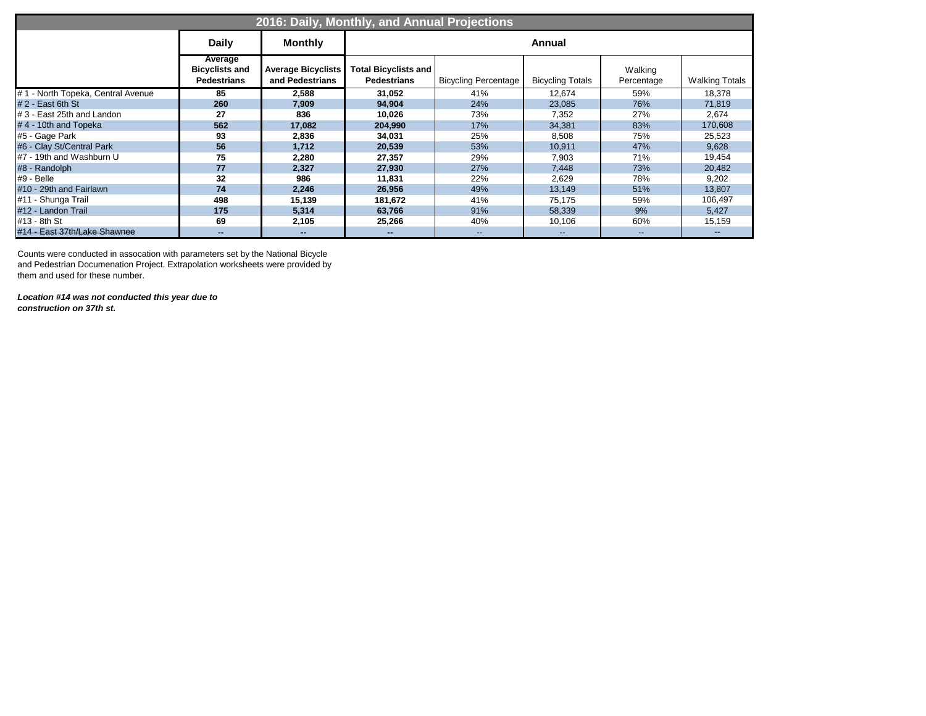|                                   |                                                        |                                              | 2016: Daily, Monthly, and Annual Projections      |                             |                         |                          |                       |
|-----------------------------------|--------------------------------------------------------|----------------------------------------------|---------------------------------------------------|-----------------------------|-------------------------|--------------------------|-----------------------|
|                                   | <b>Daily</b>                                           | <b>Monthly</b>                               |                                                   |                             | <b>Annual</b>           |                          |                       |
|                                   | Average<br><b>Bicyclists and</b><br><b>Pedestrians</b> | <b>Average Bicyclists</b><br>and Pedestrians | <b>Total Bicyclists and</b><br><b>Pedestrians</b> | <b>Bicycling Percentage</b> | <b>Bicycling Totals</b> | Walking<br>Percentage    | <b>Walking Totals</b> |
| #1 - North Topeka, Central Avenue | 85                                                     | 2,588                                        | 31,052                                            | 41%                         | 12,674                  | 59%                      | 18,378                |
| #2 - East 6th St                  | 260                                                    | 7,909                                        | 94,904                                            | 24%                         | 23,085                  | 76%                      | 71,819                |
| # 3 - East 25th and Landon        | 27                                                     | 836                                          | 10,026                                            | 73%                         | 7,352                   | 27%                      | 2,674                 |
| #4 - 10th and Topeka              | 562                                                    | 17,082                                       | 204,990                                           | 17%                         | 34,381                  | 83%                      | 170,608               |
| #5 - Gage Park                    | 93                                                     | 2,836                                        | 34,031                                            | 25%                         | 8,508                   | 75%                      | 25,523                |
| #6 - Clay St/Central Park         | 56                                                     | 1,712                                        | 20,539                                            | 53%                         | 10,911                  | 47%                      | 9,628                 |
| #7 - 19th and Washburn U          | 75                                                     | 2,280                                        | 27,357                                            | 29%                         | 7,903                   | 71%                      | 19,454                |
| #8 - Randolph                     | 77                                                     | 2,327                                        | 27,930                                            | 27%                         | 7,448                   | 73%                      | 20,482                |
| #9 - Belle                        | 32                                                     | 986                                          | 11,831                                            | 22%                         | 2,629                   | 78%                      | 9,202                 |
| #10 - 29th and Fairlawn           | 74                                                     | 2,246                                        | 26,956                                            | 49%                         | 13,149                  | 51%                      | 13,807                |
| #11 - Shunga Trail                | 498                                                    | 15,139                                       | 181,672                                           | 41%                         | 75,175                  | 59%                      | 106,497               |
| #12 - Landon Trail                | 175                                                    | 5,314                                        | 63,766                                            | 91%                         | 58,339                  | 9%                       | 5,427                 |
| $#13 - 8th$ St                    | 69                                                     | 2,105                                        | 25,266                                            | 40%                         | 10,106                  | 60%                      | 15,159                |
| #14 - East 37th/Lake Shawnee      | --                                                     |                                              |                                                   | --                          | $\qquad \qquad \cdots$  | $\overline{\phantom{a}}$ | $- -$                 |

*Location #14 was not conducted this year due to construction on 37th st.*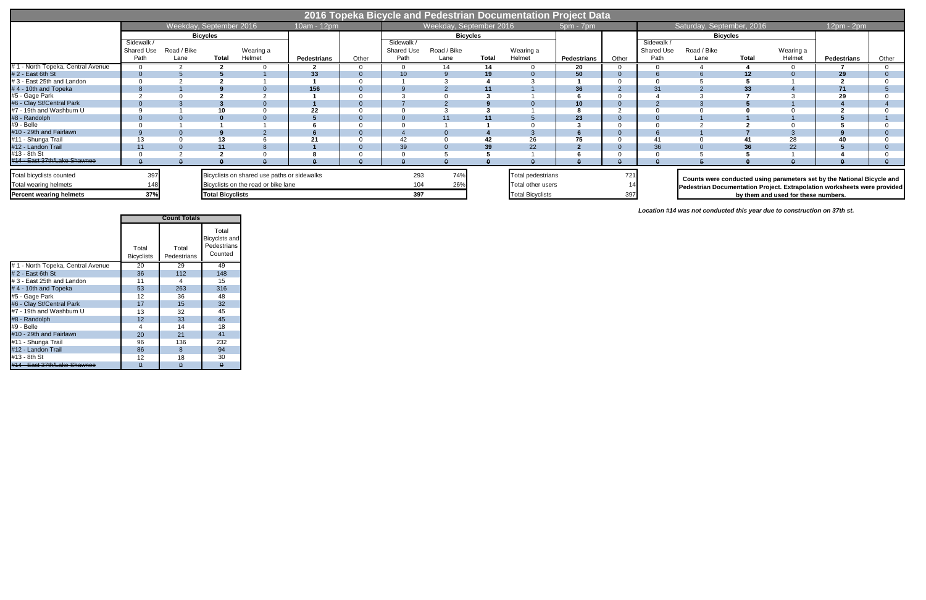|                                                   |                                         |                         |                         |                                                                                    |                    |       |                                |                         |              | 2016 Topeka Bicycle and Pedestrian Documentation Project Data |             |       |                                |                           |              |                                     |                                                                                                                                                    |       |
|---------------------------------------------------|-----------------------------------------|-------------------------|-------------------------|------------------------------------------------------------------------------------|--------------------|-------|--------------------------------|-------------------------|--------------|---------------------------------------------------------------|-------------|-------|--------------------------------|---------------------------|--------------|-------------------------------------|----------------------------------------------------------------------------------------------------------------------------------------------------|-------|
|                                                   |                                         | Weekday, September 2016 |                         |                                                                                    | 10am - 12pm        |       |                                | Weekday, September 2016 |              |                                                               | 5pm - 7pm   |       |                                | Saturday, September, 2016 |              |                                     | $12pm - 2pm$                                                                                                                                       |       |
|                                                   |                                         |                         | <b>Bicycles</b>         |                                                                                    |                    |       |                                | <b>Bicycles</b>         |              |                                                               |             |       | <b>Bicycles</b>                |                           |              |                                     |                                                                                                                                                    |       |
|                                                   | Sidewalk /<br><b>Shared Use</b><br>Path | Road / Bike<br>Lane     | <b>Total</b>            | Wearing a<br>Helmet                                                                | <b>Pedestrians</b> | Other | Sidewalk<br>Shared Use<br>Path | Road / Bike<br>Lane     | <b>Total</b> | Wearing a<br>Helmet                                           | Pedestrians | Other | Sidewalk<br>Shared Use<br>Path | Road / Bike<br>Lane       | <b>Total</b> | Wearing a<br>Helmet                 | <b>Pedestrians</b>                                                                                                                                 | Other |
| #1 - North Topeka, Central Avenue                 |                                         |                         |                         |                                                                                    |                    |       |                                | 14                      | 14           |                                                               | -20         |       |                                |                           |              |                                     |                                                                                                                                                    |       |
| #2 - East 6th St                                  |                                         |                         |                         |                                                                                    | 33                 |       |                                |                         | 19           |                                                               | 50          |       |                                |                           | 12           |                                     | 29                                                                                                                                                 |       |
| # 3 - East 25th and Landon                        |                                         |                         |                         |                                                                                    |                    |       |                                |                         |              |                                                               |             |       |                                |                           |              |                                     |                                                                                                                                                    |       |
| #4 - 10th and Topeka                              |                                         |                         |                         |                                                                                    | 156                |       |                                |                         |              |                                                               | 36          |       | 31                             |                           | 33           |                                     | 71                                                                                                                                                 |       |
| #5 - Gage Park                                    |                                         |                         |                         |                                                                                    |                    |       |                                |                         |              |                                                               |             |       |                                |                           |              |                                     |                                                                                                                                                    |       |
| #6 - Clay St/Central Park                         |                                         |                         |                         |                                                                                    |                    |       |                                |                         |              |                                                               | 10          |       |                                |                           |              |                                     |                                                                                                                                                    |       |
| #7 - 19th and Washburn U                          |                                         |                         |                         |                                                                                    | 22                 |       |                                |                         |              |                                                               |             |       |                                |                           |              |                                     |                                                                                                                                                    |       |
| #8 - Randolph                                     |                                         |                         |                         |                                                                                    |                    |       |                                |                         |              |                                                               | 23          |       |                                |                           |              |                                     |                                                                                                                                                    |       |
| #9 - Belle                                        |                                         |                         |                         |                                                                                    |                    |       |                                |                         |              |                                                               |             |       |                                |                           |              |                                     |                                                                                                                                                    |       |
| #10 - 29th and Fairlawn                           |                                         |                         |                         |                                                                                    |                    |       |                                |                         |              |                                                               |             |       |                                |                           |              |                                     |                                                                                                                                                    |       |
| #11 - Shunga Trail                                |                                         |                         | 13                      |                                                                                    |                    |       |                                |                         |              |                                                               | 75          |       |                                |                           |              | 28                                  |                                                                                                                                                    |       |
| #12 - Landon Trail                                |                                         |                         |                         |                                                                                    |                    |       | 39                             |                         | 39           | 22                                                            |             |       | 36                             |                           |              | 22                                  |                                                                                                                                                    |       |
| #13 - 8th St                                      |                                         |                         |                         |                                                                                    |                    |       |                                |                         |              |                                                               |             |       |                                |                           |              |                                     |                                                                                                                                                    |       |
| #14 - East 37th/Lake Shawnee                      |                                         |                         |                         |                                                                                    |                    |       |                                |                         |              |                                                               |             |       |                                |                           |              |                                     |                                                                                                                                                    |       |
| Total bicyclists counted<br>Total wearing helmets | 397                                     |                         |                         | Bicyclists on shared use paths or sidewalks<br>Bicyclists on the road or bike lane |                    |       | 293<br>104                     | 74%<br>26%              |              | Total pedestrians<br>Total other users                        |             | 721   |                                |                           |              |                                     | Counts were conducted using parameters set by the National Bicycle and<br>Pedestrian Documentation Project. Extrapolation worksheets were provided |       |
| <b>Percent wearing helmets</b>                    | 37%                                     |                         | <b>Total Bicyclists</b> |                                                                                    |                    |       | 397                            |                         |              | <b>Total Bicyclists</b>                                       |             |       |                                |                           |              | by them and used for these numbers. |                                                                                                                                                    |       |

Total Bicyclists Total Pedestrians Total Bicyclsts and Pedestrians Counted # 1 - North Topeka, Central Avenue 20 29 49 # 2 - East 6th St 36 112 148 4 3 - East 25th and Landon 11 1 4 15<br>
4 4 - 10th and Topeka 53 263 316 # 4 - 10th and Topeka 53 263 316 #5 - Gage Park 12 36 48 #6 - Clay St/Central Park 17 15 32 #7 - 19th and Washburn U 13 32 45 #8 - Randolph 12 33 45 #9 - Belle 4 14 18 #10 - 29th and Fairlawn 20 21 41 #11 - Shunga Trail #12 - Landon Trail 86 8 94 #13 - 8th St 12 18 30  $#14$  - East 37th/Lake Shawnee  $\theta$  0 0 0 0 **Count Totals**

*Location #14 was not conducted this year due to construction on 37th st.*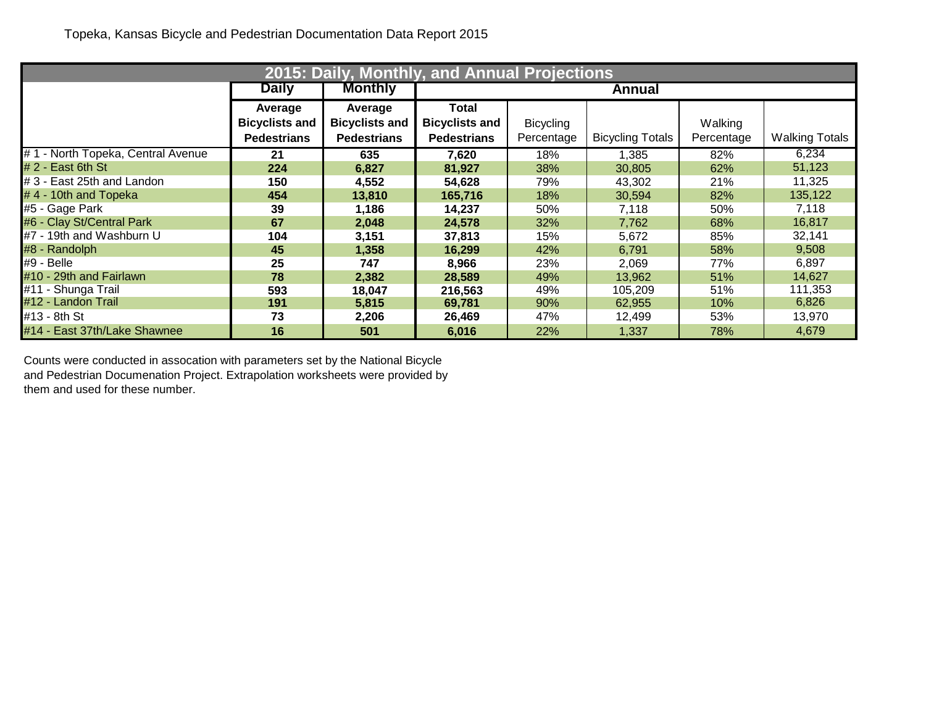|                                   | 2015: Daily, Monthly, and Annual Projections |                       |                       |                  |                         |            |                       |  |  |  |  |  |  |
|-----------------------------------|----------------------------------------------|-----------------------|-----------------------|------------------|-------------------------|------------|-----------------------|--|--|--|--|--|--|
|                                   | <b>Daily</b>                                 | <b>Monthly</b>        |                       |                  | Annual                  |            |                       |  |  |  |  |  |  |
|                                   | Average                                      | Average               | Total                 |                  |                         |            |                       |  |  |  |  |  |  |
|                                   | <b>Bicyclists and</b>                        | <b>Bicyclists and</b> | <b>Bicyclists and</b> | <b>Bicycling</b> |                         | Walking    |                       |  |  |  |  |  |  |
|                                   | <b>Pedestrians</b>                           | <b>Pedestrians</b>    | <b>Pedestrians</b>    | Percentage       | <b>Bicycling Totals</b> | Percentage | <b>Walking Totals</b> |  |  |  |  |  |  |
| #1 - North Topeka, Central Avenue | 21                                           | 635                   | 7,620                 | 18%              | 1,385                   | 82%        | 6,234                 |  |  |  |  |  |  |
| $# 2 - East 6th St$               | 224                                          | 6,827                 | 81,927                | 38%              | 30,805                  | 62%        | 51,123                |  |  |  |  |  |  |
| # 3 - East 25th and Landon        | 150                                          | 4,552                 | 54,628                | 79%              | 43,302                  | 21%        | 11,325                |  |  |  |  |  |  |
| $# 4 - 10$ th and Topeka          | 454                                          | 13,810                | 165,716               | 18%              | 30,594                  | 82%        | 135,122               |  |  |  |  |  |  |
| #5 - Gage Park                    | 39                                           | 1,186                 | 14,237                | 50%              | 7,118                   | 50%        | 7,118                 |  |  |  |  |  |  |
| #6 - Clay St/Central Park         | 67                                           | 2,048                 | 24,578                | 32%              | 7,762                   | 68%        | 16,817                |  |  |  |  |  |  |
| #7 - 19th and Washburn U          | 104                                          | 3,151                 | 37,813                | 15%              | 5,672                   | 85%        | 32,141                |  |  |  |  |  |  |
| #8 - Randolph                     | 45                                           | 1,358                 | 16,299                | 42%              | 6,791                   | 58%        | 9,508                 |  |  |  |  |  |  |
| #9 - Belle                        | 25                                           | 747                   | 8,966                 | 23%              | 2,069                   | 77%        | 6,897                 |  |  |  |  |  |  |
| #10 - 29th and Fairlawn           | 78                                           | 2,382                 | 28,589                | 49%              | 13,962                  | 51%        | 14,627                |  |  |  |  |  |  |
| #11 - Shunga Trail                | 593                                          | 18,047                | 216,563               | 49%              | 105,209                 | 51%        | 111,353               |  |  |  |  |  |  |
| #12 - Landon Trail                | 191                                          | 5,815                 | 69,781                | 90%              | 62,955                  | 10%        | 6,826                 |  |  |  |  |  |  |
| ∎#13 - 8th St                     | 73                                           | 2,206                 | 26,469                | 47%              | 12,499                  | 53%        | 13,970                |  |  |  |  |  |  |
| #14 - East 37th/Lake Shawnee      | 16                                           | 501                   | 6,016                 | 22%              | 1,337                   | 78%        | 4,679                 |  |  |  |  |  |  |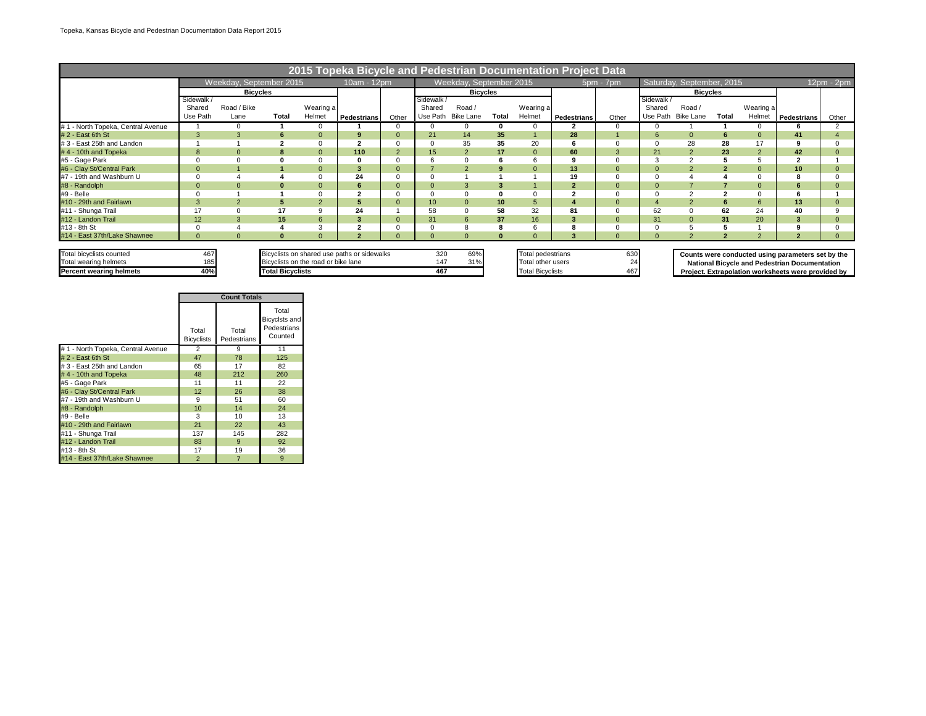|                                   | 2015 Topeka Bicycle and Pedestrian Documentation Project Data |                         |              |                                     |                                             |                |                  |                         |          |                   |                         |              |            |                           |                |                |                                                      |              |
|-----------------------------------|---------------------------------------------------------------|-------------------------|--------------|-------------------------------------|---------------------------------------------|----------------|------------------|-------------------------|----------|-------------------|-------------------------|--------------|------------|---------------------------|----------------|----------------|------------------------------------------------------|--------------|
|                                   |                                                               | Weekday, September 2015 |              |                                     | 10am - 12pm                                 |                |                  | Weekday, September 2015 |          |                   |                         | $5pm - 7pm$  |            | Saturday, September, 2015 |                |                |                                                      | $12pm - 2pm$ |
|                                   |                                                               | <b>Bicycles</b>         |              |                                     |                                             |                |                  | <b>Bicvcles</b>         |          |                   |                         |              |            | <b>Bicycles</b>           |                |                |                                                      |              |
|                                   | Sidewalk                                                      |                         |              |                                     |                                             |                | Sidewalk         |                         |          |                   |                         |              | Sidewalk / |                           |                |                |                                                      |              |
|                                   | Shared                                                        | Road / Bike             |              | Wearing a                           |                                             |                | Shared           | Road /                  |          | Wearing a         |                         |              | Shared     | Road /                    |                | Wearing a      |                                                      |              |
|                                   | Use Path                                                      | Lane                    | <b>Total</b> | Helmet                              | <b>Pedestrians</b>                          | Other          | Use Path         | Bike Lane               | Total    | Helmet            | <b>Pedestrians</b>      | Other        | Use Path   | <b>Bike Lane</b>          | Total          | Helmet         | Pedestrians                                          | Other        |
| #1 - North Topeka, Central Avenue |                                                               |                         |              |                                     |                                             |                |                  | 0                       |          |                   |                         | 0            |            |                           |                |                |                                                      |              |
| $# 2 - East 6th St$               | 3                                                             |                         | 6            | $\Omega$                            | 9                                           | $\Omega$       | 21               | 14                      | 35       |                   | 28                      |              | 6          | $\Omega$                  | 6              | $\Omega$       | 41                                                   |              |
| #3 - East 25th and Landon         |                                                               |                         |              |                                     | $\overline{2}$                              |                |                  | 35                      | 35       | 20                | 6                       | $\Omega$     |            | 28                        | 28             | 17             |                                                      |              |
| #4 - 10th and Topeka              | $\mathbf{8}$                                                  |                         | $\mathbf{R}$ | $\Omega$                            | 110                                         | $\overline{2}$ | 15               | $\overline{2}$          | 17       | $\Omega$          | 60                      | 3            | 21         |                           | 23             | $\overline{2}$ | 42                                                   |              |
| #5 - Gage Park                    |                                                               |                         |              |                                     | 0                                           |                |                  | $\mathbf 0$             |          | 6                 |                         | $\Omega$     |            |                           |                |                |                                                      |              |
| #6 - Clay St/Central Park         | $\Omega$                                                      |                         |              | $\Omega$                            | 3                                           | $\overline{0}$ |                  | $\overline{2}$          | 9        | $\Omega$          | 13                      | $\mathbf{0}$ |            |                           |                |                | 10                                                   |              |
| #7 - 19th and Washburn U          |                                                               |                         |              |                                     | 24                                          |                |                  |                         |          |                   | 19                      | $\Omega$     |            |                           |                |                |                                                      |              |
| #8 - Randolph                     |                                                               |                         | 0            | $\Omega$                            | 6                                           | $\Omega$       |                  |                         |          |                   | $\overline{2}$          | $\mathbf{0}$ |            |                           |                |                |                                                      |              |
| #9 - Belle                        |                                                               |                         |              |                                     | $\ddot{\phantom{0}}$                        |                |                  | $\mathbf 0$             |          |                   |                         |              |            |                           | $\overline{ }$ |                |                                                      |              |
| #10 - 29th and Fairlawn           |                                                               |                         | 5            | $\overline{2}$                      | 5                                           | $\Omega$       | 10 <sup>10</sup> | $\mathbf{0}$            | 10       | 5                 |                         | $\mathbf{0}$ |            |                           | 6              | 6              | 13                                                   |              |
| #11 - Shunga Trail                | 17                                                            |                         | 17           | <sub>9</sub>                        | 24                                          |                | 58               | $\mathbf 0$             | 58       | 32                | 81                      | $\Omega$     | 62         |                           | 62             | 24             | 40                                                   |              |
| #12 - Landon Trail                | 12                                                            |                         | 15           | 6                                   | 3                                           |                | 31               | 6                       | 37       | 16                | $\overline{\mathbf{3}}$ | $\mathbf{0}$ | 31         |                           | 31             | 20             |                                                      |              |
| #13 - 8th St                      |                                                               |                         |              | 3                                   | ຳ                                           |                |                  |                         |          | 6                 | 8                       |              |            |                           |                |                |                                                      |              |
| #14 - East 37th/Lake Shawnee      | $\Omega$                                                      |                         | $\bf{0}$     | $\Omega$                            | $\overline{2}$                              | $\Omega$       |                  | $\Omega$                | $\bf{0}$ | $\Omega$          |                         | $\Omega$     |            | $\mathcal{P}$             |                | $\Omega$       |                                                      |              |
|                                   |                                                               |                         |              |                                     |                                             |                |                  |                         |          |                   |                         |              |            |                           |                |                |                                                      |              |
| Total bicyclists counted          | 467                                                           |                         |              |                                     | Bicyclists on shared use paths or sidewalks |                | 320              | 69%                     |          | Total pedestrians |                         | 630          |            |                           |                |                | Counts were conducted using parameters set by the    |              |
| Total wearing helmets             | 185                                                           |                         |              | Bicyclists on the road or bike lane |                                             |                | 147              | 31%                     |          | Total other users |                         | 24           |            |                           |                |                | <b>National Bicycle and Pedestrian Documentation</b> |              |

**Project. Extrapolation worksheets were provided by** 

| <b>Percent wearing helmets</b>    | 40%                        |                      | <b>Total Bicyclists</b>                          | 467 | <b>Total Bicyclists</b> | 467 |
|-----------------------------------|----------------------------|----------------------|--------------------------------------------------|-----|-------------------------|-----|
|                                   |                            | <b>Count Totals</b>  |                                                  |     |                         |     |
|                                   | Total<br><b>Bicyclists</b> | Total<br>Pedestrians | Total<br>Bicyclsts and<br>Pedestrians<br>Counted |     |                         |     |
| #1 - North Topeka, Central Avenue | ◠                          |                      | 11                                               |     |                         |     |
| $# 2 - East 6th St$               | 47                         | 78                   | 125                                              |     |                         |     |
| #3 - East 25th and Landon         | 65                         | 17                   | 82                                               |     |                         |     |
| #4 - 10th and Topeka              | 48                         | 212                  | 260                                              |     |                         |     |

#5 - Gage Park 11 11 22 #6 - Clay St/Central Park 12 26 38 #7 - 19th and Washburn U 9 51 60 #8 - Randolph 10 14 24

49 - Belle 3 10 13<br>
410 - 29th and Fairlawn 21 22 43<br>
411 - Shunga Trail 3 137 145 282 #10 - 29th and Fairlawn 21 22 43 #11 - Shunga Trail 137 145 282 #12 - Landon Trail 83 9 92 2 13 - 8th St<br>
#14 - East 37th/Lake Shawnee 2 2 7 9

#14 - East 37th/Lake Shawnee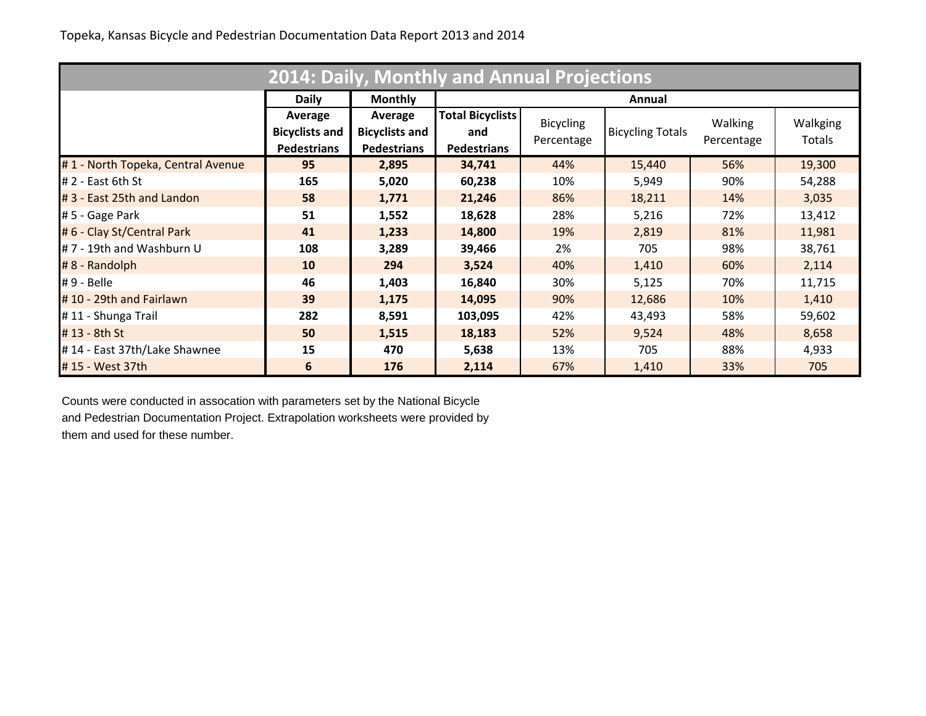|                                   |                       |                       | <b>2014: Daily, Monthly and Annual Projections</b> |                  |                         |                |          |
|-----------------------------------|-----------------------|-----------------------|----------------------------------------------------|------------------|-------------------------|----------------|----------|
|                                   | <b>Daily</b>          | <b>Monthly</b>        |                                                    |                  | Annual                  |                |          |
|                                   | Average               | Average               | <b>Total Bicyclists</b>                            | <b>Bicycling</b> |                         | <b>Walking</b> | Walkging |
|                                   | <b>Bicyclists and</b> | <b>Bicyclists and</b> | and                                                | Percentage       | <b>Bicycling Totals</b> | Percentage     | Totals   |
|                                   | <b>Pedestrians</b>    | <b>Pedestrians</b>    | <b>Pedestrians</b>                                 |                  |                         |                |          |
| #1 - North Topeka, Central Avenue | 95                    | 2,895                 | 34,741                                             | 44%              | 15,440                  | 56%            | 19,300   |
| $# 2 - East 6th St$               | 165                   | 5,020                 | 60,238                                             | 10%              | 5,949                   | 90%            | 54,288   |
| #3 - East 25th and Landon         | 58                    | 1,771                 | 21,246                                             | 86%              | 18,211                  | 14%            | 3,035    |
| # 5 - Gage Park                   | 51                    | 1,552                 | 18,628                                             | 28%              | 5,216                   | 72%            | 13,412   |
| # 6 - Clay St/Central Park        | 41                    | 1,233                 | 14,800                                             | 19%              | 2,819                   | 81%            | 11,981   |
| #7 - 19th and Washburn U          | 108                   | 3,289                 | 39,466                                             | 2%               | 705                     | 98%            | 38,761   |
| $# 8 - Random$                    | <b>10</b>             | 294                   | 3,524                                              | 40%              | 1,410                   | 60%            | 2,114    |
| $# 9 - Belle$                     | 46                    | 1,403                 | 16,840                                             | 30%              | 5,125                   | 70%            | 11,715   |
| #10 - 29th and Fairlawn           | 39                    | 1,175                 | 14,095                                             | 90%              | 12,686                  | 10%            | 1,410    |
| #11 - Shunga Trail                | 282                   | 8,591                 | 103,095                                            | 42%              | 43,493                  | 58%            | 59,602   |
| #13 - 8th St                      | 50                    | 1,515                 | 18,183                                             | 52%              | 9,524                   | 48%            | 8,658    |
| #14 - East 37th/Lake Shawnee      | 15                    | 470                   | 5,638                                              | 13%              | 705                     | 88%            | 4,933    |
| #15 - West 37th                   | 6                     | 176                   | 2,114                                              | 67%              | 1,410                   | 33%            | 705      |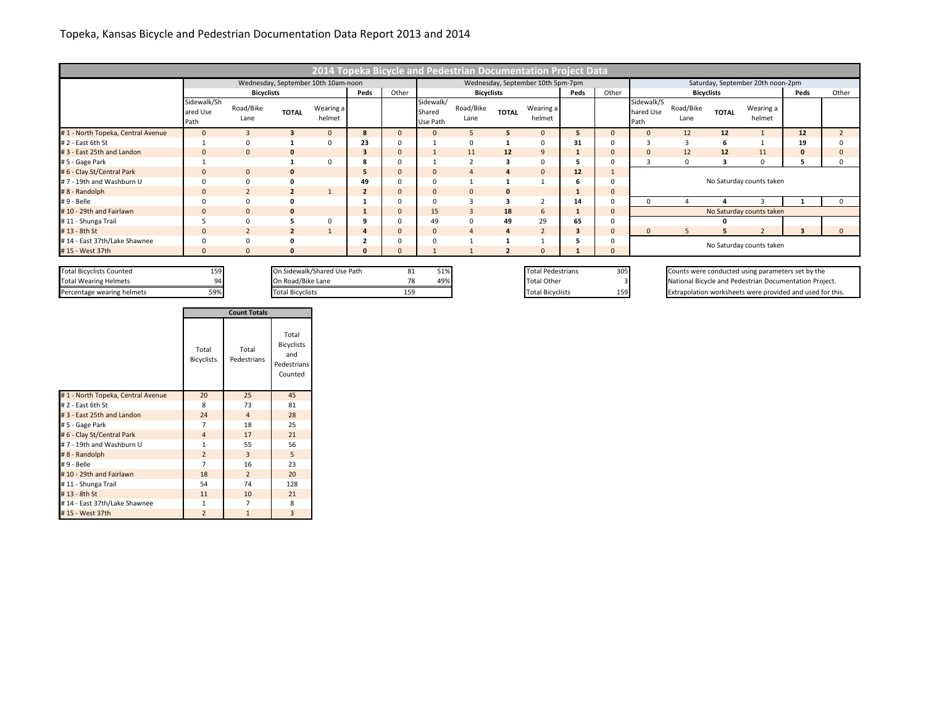## Topeka, Kansas Bicycle and Pedestrian Documentation Data Report 2013 and 2014

|                                   |                                 |                   |                |                                     |                |       |                                 | 2014 Topeka Bicycle and Pedestrian Documentation Project Data |                |                                   |      |                |                                 |                   |              |                                   |                         |          |
|-----------------------------------|---------------------------------|-------------------|----------------|-------------------------------------|----------------|-------|---------------------------------|---------------------------------------------------------------|----------------|-----------------------------------|------|----------------|---------------------------------|-------------------|--------------|-----------------------------------|-------------------------|----------|
|                                   |                                 |                   |                | Wednesday, September 10th 10am-noon |                |       |                                 |                                                               |                | Wednesday, September 10th 5pm-7pm |      |                |                                 |                   |              | Saturday, September 20th noon-2pm |                         |          |
|                                   |                                 | <b>Bicyclists</b> |                |                                     | Peds           | Other | <b>Bicyclists</b>               |                                                               |                |                                   | Peds | Other          | Peds<br><b>Bicyclists</b>       |                   |              |                                   | Other                   |          |
|                                   | Sidewalk/Sh<br>ared Use<br>Path | Road/Bike<br>Lane | <b>TOTAL</b>   | Wearing a<br>helmet                 |                |       | Sidewalk/<br>Shared<br>Use Path | Road/Bike<br>Lane                                             | <b>TOTAL</b>   | Wearing a<br>helmet               |      |                | Sidewalk/S<br>hared Use<br>Path | Road/Bike<br>Lane | <b>TOTAL</b> | Wearing a<br>helmet               |                         |          |
| #1 - North Topeka, Central Avenue | $\Omega$                        |                   |                |                                     | 8              |       |                                 |                                                               |                |                                   | 5    | $\overline{0}$ |                                 | 12                | 12           |                                   | 12                      |          |
| # 2 - East 6th St                 |                                 |                   |                |                                     | 23             |       |                                 | 0                                                             |                | $\Omega$                          | 31   |                |                                 |                   | 6            |                                   | 19                      |          |
| #3 - East 25th and Landon         | $\Omega$                        | $\mathbf{0}$      | $\mathbf{0}$   |                                     | 3              |       |                                 | 11                                                            | 12             | 9                                 | л    | $\Omega$       |                                 | 12                | 12           | 11                                | $\mathbf 0$             |          |
| # 5 - Gage Park                   |                                 |                   |                |                                     | 8              |       |                                 | $\overline{2}$                                                | 3              | $\Omega$                          |      |                |                                 | 0                 | 3            | $\Omega$                          |                         |          |
| # 6 - Clay St/Central Park        |                                 | $\mathbf{0}$      | $\mathbf{0}$   |                                     | 5              |       |                                 | $\overline{A}$                                                |                | $\overline{0}$                    | 12   |                |                                 |                   |              |                                   |                         |          |
| #7 - 19th and Washburn U          |                                 | $\Omega$          | 0              |                                     | 49             |       |                                 |                                                               |                |                                   | 6    | $\Omega$       |                                 |                   |              | No Saturday counts taken          |                         |          |
| #8 - Randolph                     | $\Omega$                        | $\overline{2}$    | $\overline{2}$ |                                     | $\overline{2}$ |       |                                 | $\mathbf{0}$                                                  | $\mathbf 0$    |                                   | л.   | $\Omega$       |                                 |                   |              |                                   |                         |          |
| #9 - Belle                        |                                 | 0                 |                |                                     |                |       |                                 | 3                                                             |                |                                   | 14   |                |                                 |                   |              |                                   |                         |          |
| #10 - 29th and Fairlawn           |                                 | $\mathbf{0}$      | $\mathbf{0}$   |                                     |                |       | 15                              | $\overline{3}$                                                | 18             | 6                                 |      | $\overline{0}$ |                                 |                   |              | No Saturday counts taken          |                         |          |
| #11 - Shunga Trail                |                                 |                   |                |                                     |                |       | 49                              | $\mathbf 0$                                                   | 49             | 29                                | 65   |                |                                 |                   |              |                                   |                         |          |
| #13 - 8th St                      | $\Omega$                        |                   |                |                                     |                |       |                                 | $\overline{4}$                                                | $\overline{a}$ | $\mathbf{z}$                      | 3    | $\Omega$       |                                 | 5                 | 5            |                                   | $\overline{\mathbf{3}}$ | $\Omega$ |
| #14 - East 37th/Lake Shawnee      |                                 |                   |                |                                     |                |       |                                 |                                                               |                |                                   |      |                | No Saturday counts taken        |                   |              |                                   |                         |          |
| #15 - West 37th                   |                                 |                   |                |                                     | $\Omega$       |       |                                 |                                                               |                | $\Omega$                          |      | $\Omega$       |                                 |                   |              |                                   |                         |          |

Total Bicyclists Counted 159 159 On Sidewalk/Shared Use Path 81 51% Total Pedestrians 305 Counts were conducted using parameters set by the

Total Wearing Helmets 20 On Road/Bike Lane 78 49% Total Other 3 National Bicycle and Pedestrian Documentation Project. Percentage wearing helmets 59% Total Bicyclists 159 Total Bicyclists 159 Total Bicyclists 159 Extrapolation worksheets were provided and used for this.

|                                   | <b>Count Totals</b>        |                      |                                                             |  |  |  |  |  |
|-----------------------------------|----------------------------|----------------------|-------------------------------------------------------------|--|--|--|--|--|
|                                   | Total<br><b>Bicyclists</b> | Total<br>Pedestrians | Total<br><b>Bicyclists</b><br>and<br>Pedestrians<br>Counted |  |  |  |  |  |
| #1 - North Topeka, Central Avenue | 20                         | 25                   | 45                                                          |  |  |  |  |  |
| #2 - East 6th St                  | 8                          | 73                   | 81                                                          |  |  |  |  |  |
| #3 - East 25th and Landon         | 24                         | $\overline{4}$       | 28                                                          |  |  |  |  |  |
| # 5 - Gage Park                   | 7                          | 18                   | 25                                                          |  |  |  |  |  |
| # 6 - Clay St/Central Park        | $\overline{4}$             | 17                   | 21                                                          |  |  |  |  |  |
| #7 - 19th and Washburn U          | $\mathbf{1}$               | 55                   | 56                                                          |  |  |  |  |  |
| #8 - Randolph                     | $\overline{2}$             | 3                    | 5                                                           |  |  |  |  |  |
| #9 - Belle                        | $\overline{7}$             | 16                   | 23                                                          |  |  |  |  |  |
| #10 - 29th and Fairlawn           | 18                         | $\overline{2}$       | 20                                                          |  |  |  |  |  |
| #11 - Shunga Trail                | 54                         | 74                   | 128                                                         |  |  |  |  |  |
| #13 - 8th St                      | 11                         | 10                   | 21                                                          |  |  |  |  |  |
| #14 - East 37th/Lake Shawnee      | 1                          | 7                    | 8                                                           |  |  |  |  |  |
| #15 - West 37th                   | $\overline{2}$             | $\overline{1}$       | 3                                                           |  |  |  |  |  |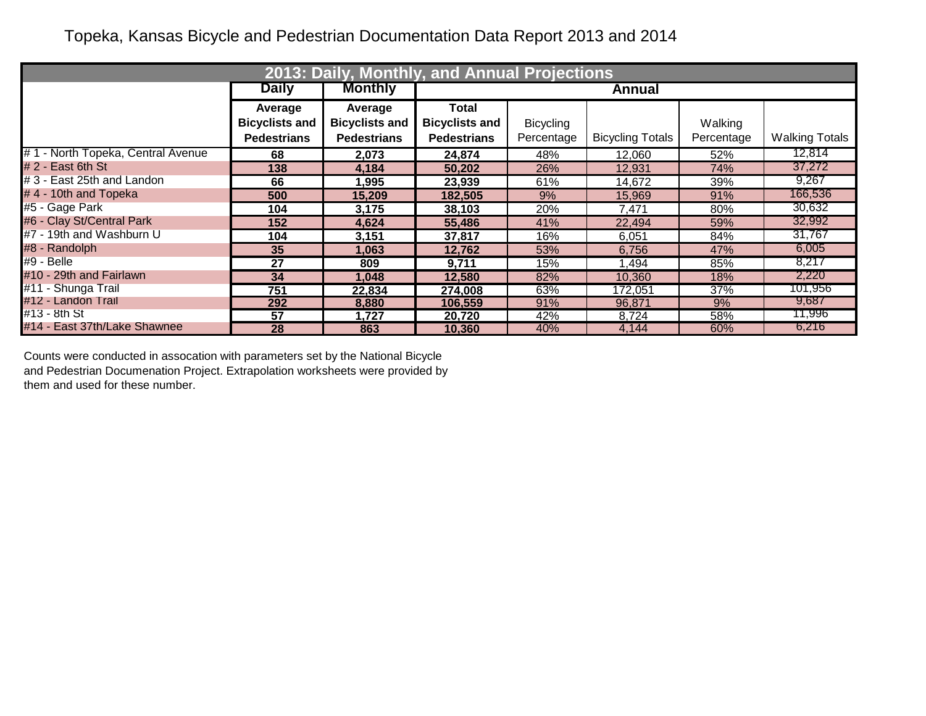## Topeka, Kansas Bicycle and Pedestrian Documentation Data Report 2013 and 2014

|                                   |                       | 2013: Daily, Monthly, and Annual Projections |                       |                  |                         |            |                       |
|-----------------------------------|-----------------------|----------------------------------------------|-----------------------|------------------|-------------------------|------------|-----------------------|
|                                   | <b>Daily</b>          | <b>Monthly</b>                               |                       |                  | Annual                  |            |                       |
|                                   | Average               | Average                                      | Total                 |                  |                         |            |                       |
|                                   | <b>Bicyclists and</b> | <b>Bicyclists and</b>                        | <b>Bicyclists and</b> | <b>Bicycling</b> |                         | Walking    |                       |
|                                   | <b>Pedestrians</b>    | <b>Pedestrians</b>                           | <b>Pedestrians</b>    | Percentage       | <b>Bicycling Totals</b> | Percentage | <b>Walking Totals</b> |
| #1 - North Topeka, Central Avenue | 68                    | 2,073                                        | 24,874                | 48%              | 12,060                  | 52%        | 12,814                |
| $# 2 - East 6th St$               | 138                   | 4,184                                        | 50,202                | 26%              | 12,931                  | 74%        | 37,272                |
| #3 - East 25th and Landon         | 66                    | 1,995                                        | 23,939                | 61%              | 14,672                  | 39%        | 9,267                 |
| #4 - 10th and Topeka              | 500                   | 15,209                                       | 182,505               | 9%               | 15,969                  | 91%        | 166,536               |
| #5 - Gage Park                    | 104                   | 3,175                                        | 38,103                | 20%              | 7,471                   | 80%        | 30,632                |
| #6 - Clay St/Central Park         | 152                   | 4,624                                        | 55,486                | 41%              | 22,494                  | 59%        | 32,992                |
| #7 - 19th and Washburn U          | 104                   | 3,151                                        | 37,817                | 16%              | 6,051                   | 84%        | 31,767                |
| #8 - Randolph                     | 35                    | 1,063                                        | 12,762                | 53%              | 6,756                   | 47%        | 6,005                 |
| $#9 - Belle$                      | 27                    | 809                                          | 9,711                 | 15%              | 1,494                   | 85%        | 8,217                 |
| #10 - 29th and Fairlawn           | 34                    | 1,048                                        | 12,580                | 82%              | 10,360                  | 18%        | 2,220                 |
| #11 - Shunga Trail                | 751                   | 22,834                                       | 274,008               | 63%              | 172,051                 | 37%        | 101,956               |
| #12 - Landon Trail                | 292                   | 8,880                                        | 106,559               | 91%              | 96,871                  | 9%         | 9,687                 |
| #13 - 8th St                      | 57                    | 1,727                                        | 20,720                | 42%              | 8,724                   | 58%        | 11,996                |
| #14 - East 37th/Lake Shawnee      | 28                    | 863                                          | 10,360                | 40%              | 4,144                   | 60%        | 6,216                 |